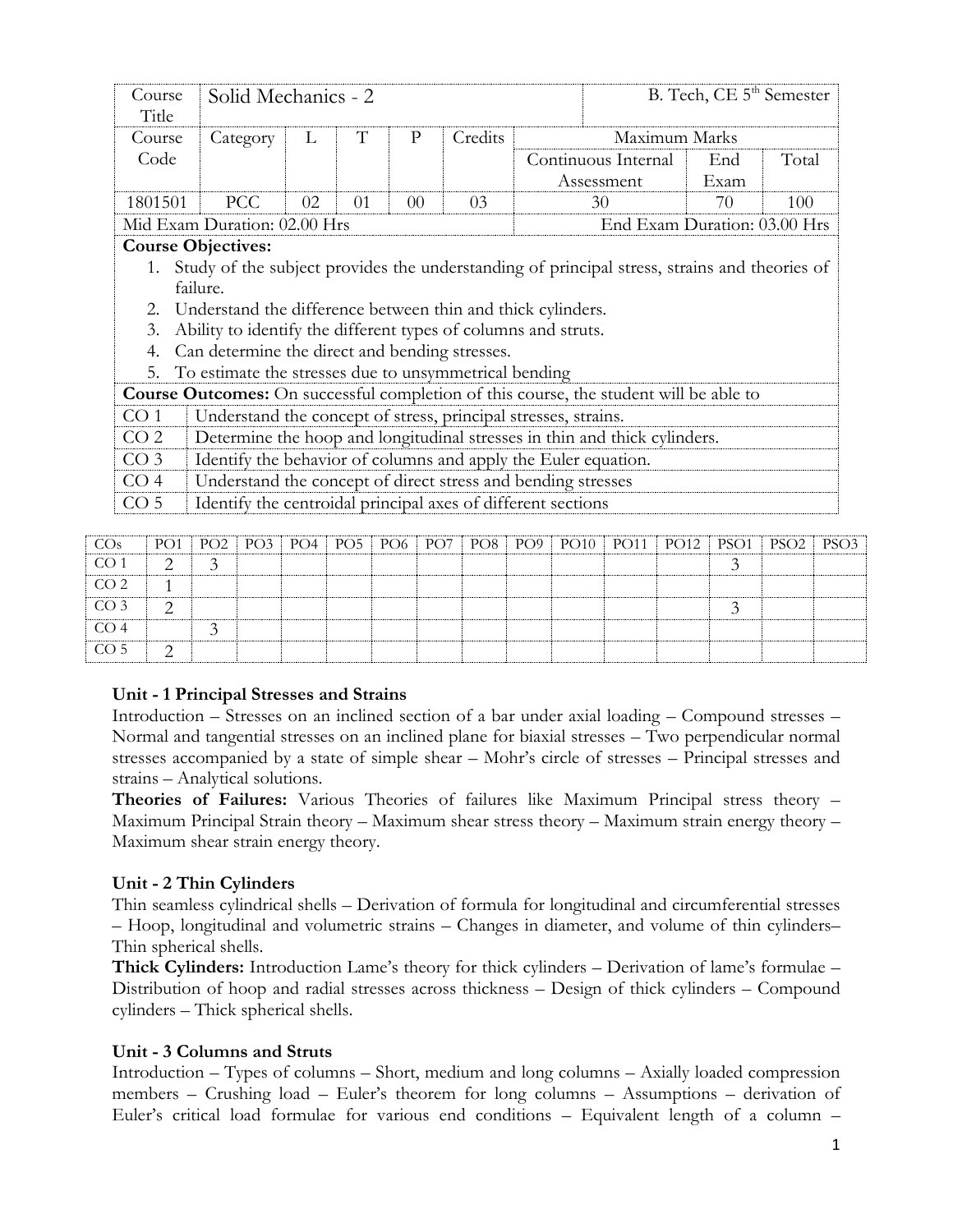| Course<br>Title | Solid Mechanics - 2                                                                                                            |    |    |                              |         |    |                                                                                              | B. Tech, CE 5 <sup>th</sup> Semester |       |
|-----------------|--------------------------------------------------------------------------------------------------------------------------------|----|----|------------------------------|---------|----|----------------------------------------------------------------------------------------------|--------------------------------------|-------|
| Course          | Category                                                                                                                       | L  | T  | P                            | Credits |    | Maximum Marks                                                                                |                                      |       |
| Code            |                                                                                                                                |    |    |                              |         |    | Continuous Internal                                                                          | End                                  | Total |
|                 |                                                                                                                                |    |    |                              |         |    | Assessment                                                                                   | Exam                                 |       |
| 1801501         | <b>PCC</b>                                                                                                                     | 02 | 01 | 00 <sup>2</sup>              |         | 30 | 70                                                                                           | 100                                  |       |
|                 | Mid Exam Duration: 02.00 Hrs                                                                                                   |    |    | End Exam Duration: 03.00 Hrs |         |    |                                                                                              |                                      |       |
|                 | <b>Course Objectives:</b>                                                                                                      |    |    |                              |         |    |                                                                                              |                                      |       |
|                 |                                                                                                                                |    |    |                              |         |    |                                                                                              |                                      |       |
|                 | Study of the subject provides the understanding of principal stress, strains and theories of                                   |    |    |                              |         |    |                                                                                              |                                      |       |
|                 | failure.                                                                                                                       |    |    |                              |         |    |                                                                                              |                                      |       |
| 2.              | Understand the difference between thin and thick cylinders.                                                                    |    |    |                              |         |    |                                                                                              |                                      |       |
| 3.              | Ability to identify the different types of columns and struts.                                                                 |    |    |                              |         |    |                                                                                              |                                      |       |
| 4.              | Can determine the direct and bending stresses.                                                                                 |    |    |                              |         |    |                                                                                              |                                      |       |
| 5.              | To estimate the stresses due to unsymmetrical bending                                                                          |    |    |                              |         |    |                                                                                              |                                      |       |
|                 |                                                                                                                                |    |    |                              |         |    | <b>Course Outcomes:</b> On successful completion of this course, the student will be able to |                                      |       |
| CO <sub>1</sub> | Understand the concept of stress, principal stresses, strains.                                                                 |    |    |                              |         |    |                                                                                              |                                      |       |
| CO <sub>2</sub> |                                                                                                                                |    |    |                              |         |    | Determine the hoop and longitudinal stresses in thin and thick cylinders.                    |                                      |       |
| CO <sub>3</sub> |                                                                                                                                |    |    |                              |         |    |                                                                                              |                                      |       |
| CO <sub>4</sub> | Identify the behavior of columns and apply the Euler equation.<br>Understand the concept of direct stress and bending stresses |    |    |                              |         |    |                                                                                              |                                      |       |

| CO <sub>s</sub> | PO1           |  |  |  |  | PO2   PO3   PO4   PO5   PO6   PO7   PO8   PO9   PO10   PO11   PO12   PSO1   PSO2   PSO3 |  |  |  |
|-----------------|---------------|--|--|--|--|-----------------------------------------------------------------------------------------|--|--|--|
| CO <sub>1</sub> | $\mathcal{D}$ |  |  |  |  |                                                                                         |  |  |  |
| CO <sub>2</sub> |               |  |  |  |  |                                                                                         |  |  |  |
| CO <sub>3</sub> | ⌒             |  |  |  |  |                                                                                         |  |  |  |
| CO <sub>4</sub> |               |  |  |  |  |                                                                                         |  |  |  |
| CO <sub>5</sub> |               |  |  |  |  |                                                                                         |  |  |  |

## **Unit - 1 Principal Stresses and Strains**

Introduction – Stresses on an inclined section of a bar under axial loading – Compound stresses – Normal and tangential stresses on an inclined plane for biaxial stresses – Two perpendicular normal stresses accompanied by a state of simple shear – Mohr's circle of stresses – Principal stresses and strains – Analytical solutions.

**Theories of Failures:** Various Theories of failures like Maximum Principal stress theory – Maximum Principal Strain theory – Maximum shear stress theory – Maximum strain energy theory – Maximum shear strain energy theory.

## **Unit - 2 Thin Cylinders**

Thin seamless cylindrical shells – Derivation of formula for longitudinal and circumferential stresses – Hoop, longitudinal and volumetric strains – Changes in diameter, and volume of thin cylinders– Thin spherical shells.

**Thick Cylinders:** Introduction Lame's theory for thick cylinders – Derivation of lame's formulae – Distribution of hoop and radial stresses across thickness – Design of thick cylinders – Compound cylinders – Thick spherical shells.

### **Unit - 3 Columns and Struts**

Introduction – Types of columns – Short, medium and long columns – Axially loaded compression members – Crushing load – Euler's theorem for long columns – Assumptions – derivation of Euler's critical load formulae for various end conditions – Equivalent length of a column –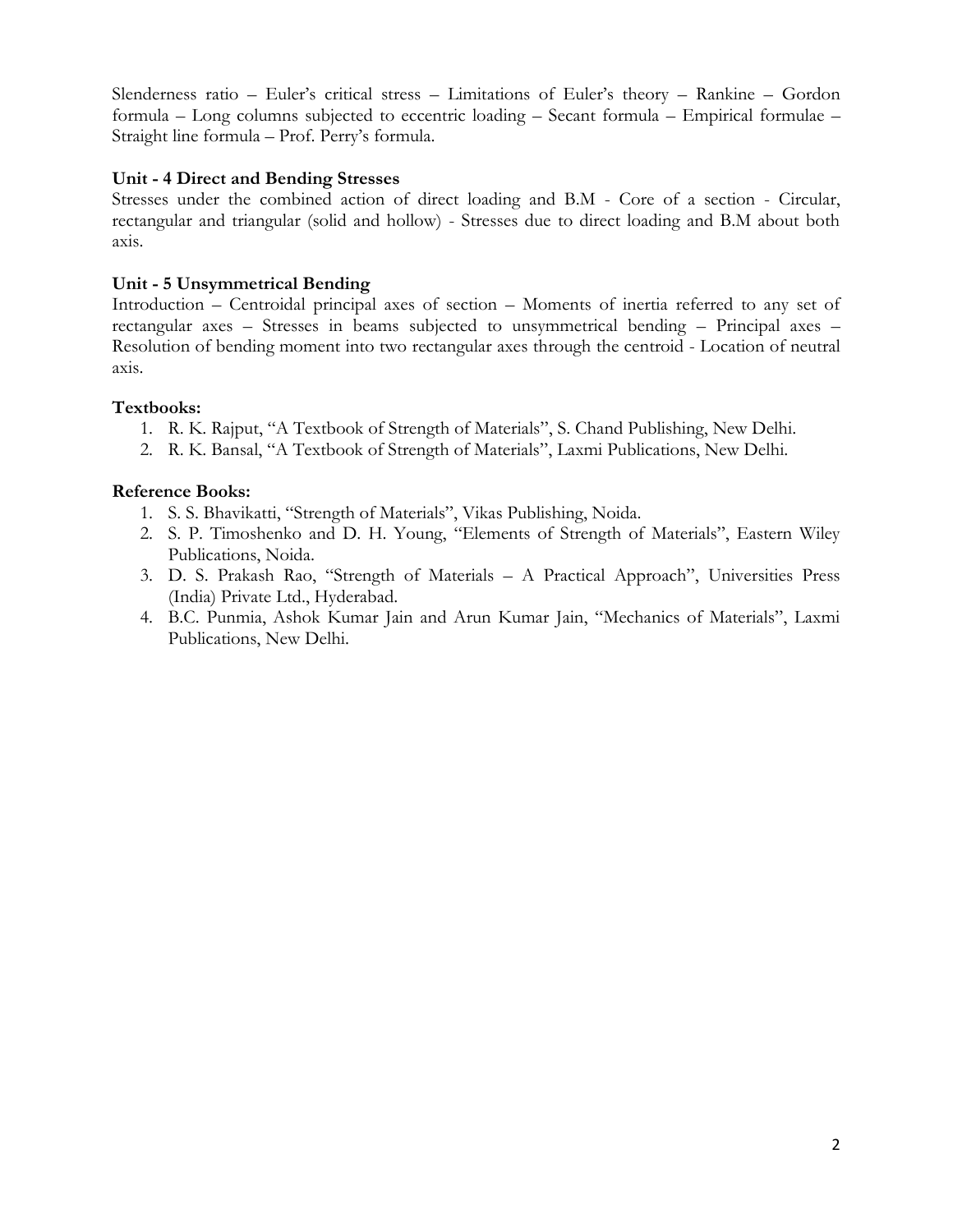Slenderness ratio – Euler's critical stress – Limitations of Euler's theory – Rankine – Gordon formula – Long columns subjected to eccentric loading – Secant formula – Empirical formulae – Straight line formula – Prof. Perry's formula.

## **Unit - 4 Direct and Bending Stresses**

Stresses under the combined action of direct loading and B.M - Core of a section - Circular, rectangular and triangular (solid and hollow) - Stresses due to direct loading and B.M about both axis.

### **Unit - 5 Unsymmetrical Bending**

Introduction – Centroidal principal axes of section – Moments of inertia referred to any set of rectangular axes – Stresses in beams subjected to unsymmetrical bending – Principal axes – Resolution of bending moment into two rectangular axes through the centroid - Location of neutral axis.

### **Textbooks:**

- 1. R. K. Rajput, "A Textbook of Strength of Materials", S. Chand Publishing, New Delhi.
- 2. R. K. Bansal, "A Textbook of Strength of Materials", Laxmi Publications, New Delhi.

- 1. S. S. Bhavikatti, "Strength of Materials", Vikas Publishing, Noida.
- 2. S. P. Timoshenko and D. H. Young, "Elements of Strength of Materials", Eastern Wiley Publications, Noida.
- 3. D. S. Prakash Rao, "Strength of Materials A Practical Approach", Universities Press (India) Private Ltd., Hyderabad.
- 4. B.C. Punmia, Ashok Kumar Jain and Arun Kumar Jain, "Mechanics of Materials", Laxmi Publications, New Delhi.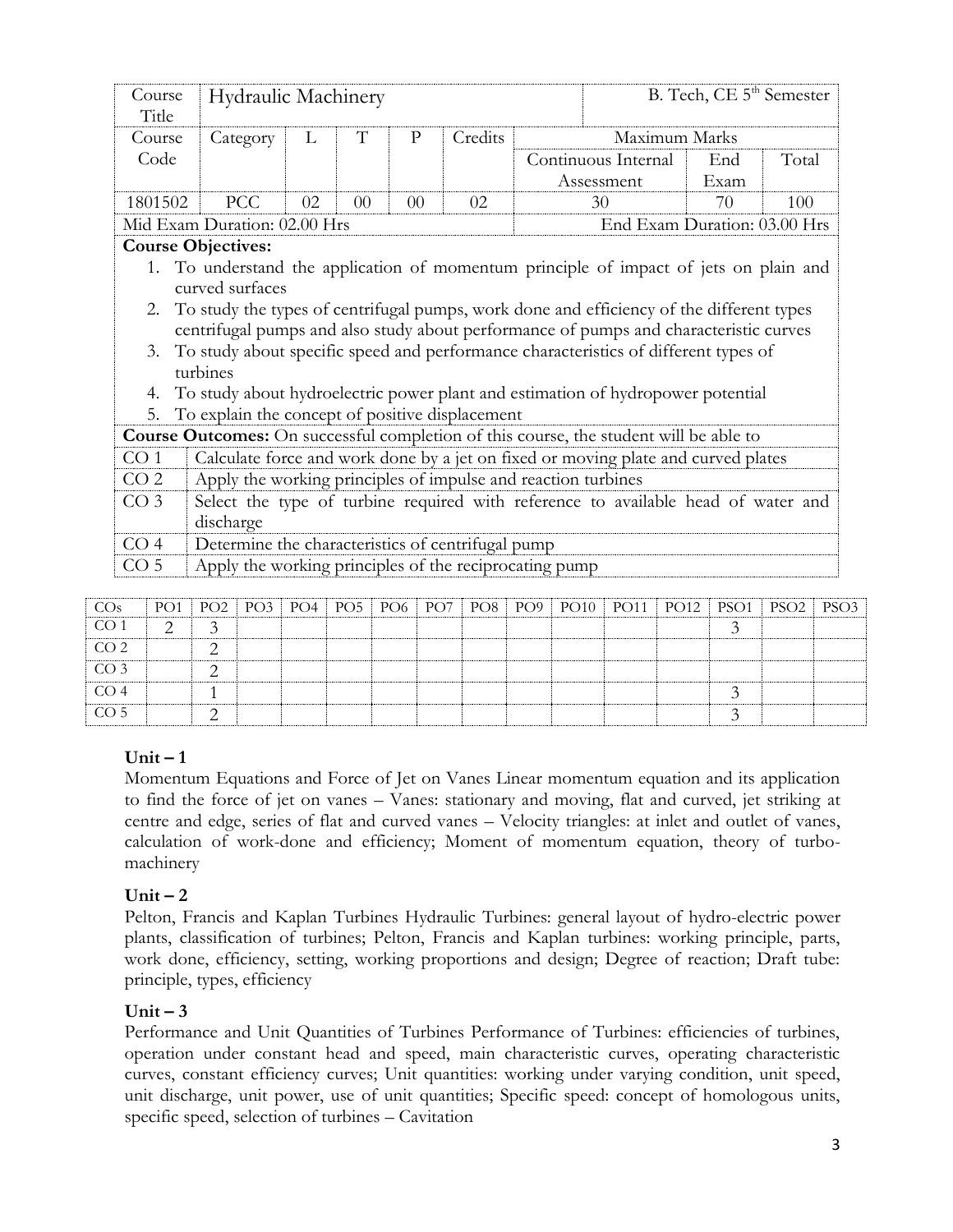|                 | Course<br>Title                       |               | <b>Hydraulic Machinery</b>   |     |                 |                 |                 |                                                        |             |                                                               |                     | B. Tech, CE 5 <sup>th</sup> Semester                                                                                                                                                                                                                                                                                                                                                                                                                    |                  |       |  |
|-----------------|---------------------------------------|---------------|------------------------------|-----|-----------------|-----------------|-----------------|--------------------------------------------------------|-------------|---------------------------------------------------------------|---------------------|---------------------------------------------------------------------------------------------------------------------------------------------------------------------------------------------------------------------------------------------------------------------------------------------------------------------------------------------------------------------------------------------------------------------------------------------------------|------------------|-------|--|
|                 | Course                                |               | Category                     | L   | T               |                 | $\mathbf{P}$    | Credits                                                |             |                                                               |                     | Maximum Marks                                                                                                                                                                                                                                                                                                                                                                                                                                           |                  |       |  |
|                 | Code                                  |               |                              |     |                 |                 |                 |                                                        |             |                                                               | Continuous Internal |                                                                                                                                                                                                                                                                                                                                                                                                                                                         | End              | Total |  |
|                 |                                       |               |                              |     |                 |                 |                 |                                                        |             | Assessment                                                    |                     |                                                                                                                                                                                                                                                                                                                                                                                                                                                         | Exam             |       |  |
|                 | 1801502                               |               | <b>PCC</b>                   | 02  | 0 <sup>0</sup>  |                 | $00\,$          | 02                                                     |             | 30                                                            |                     |                                                                                                                                                                                                                                                                                                                                                                                                                                                         | 70               | 100   |  |
|                 |                                       |               | Mid Exam Duration: 02.00 Hrs |     |                 |                 |                 |                                                        |             |                                                               |                     | End Exam Duration: 03.00 Hrs                                                                                                                                                                                                                                                                                                                                                                                                                            |                  |       |  |
|                 | <b>Course Objectives:</b><br>3.<br>4. | turbines      | curved surfaces              |     |                 |                 |                 |                                                        |             |                                                               |                     | 1. To understand the application of momentum principle of impact of jets on plain and<br>2. To study the types of centrifugal pumps, work done and efficiency of the different types<br>centrifugal pumps and also study about performance of pumps and characteristic curves<br>To study about specific speed and performance characteristics of different types of<br>To study about hydroelectric power plant and estimation of hydropower potential |                  |       |  |
|                 | 5.                                    |               |                              |     |                 |                 |                 | To explain the concept of positive displacement        |             |                                                               |                     |                                                                                                                                                                                                                                                                                                                                                                                                                                                         |                  |       |  |
|                 |                                       |               |                              |     |                 |                 |                 |                                                        |             |                                                               |                     | <b>Course Outcomes:</b> On successful completion of this course, the student will be able to                                                                                                                                                                                                                                                                                                                                                            |                  |       |  |
| CO <sub>1</sub> |                                       |               |                              |     |                 |                 |                 |                                                        |             |                                                               |                     | Calculate force and work done by a jet on fixed or moving plate and curved plates                                                                                                                                                                                                                                                                                                                                                                       |                  |       |  |
| CO <sub>2</sub> |                                       |               |                              |     |                 |                 |                 |                                                        |             | Apply the working principles of impulse and reaction turbines |                     |                                                                                                                                                                                                                                                                                                                                                                                                                                                         |                  |       |  |
| CO <sub>3</sub> |                                       |               |                              |     |                 |                 |                 |                                                        |             |                                                               |                     | Select the type of turbine required with reference to available head of water and                                                                                                                                                                                                                                                                                                                                                                       |                  |       |  |
|                 |                                       | discharge     |                              |     |                 |                 |                 |                                                        |             |                                                               |                     |                                                                                                                                                                                                                                                                                                                                                                                                                                                         |                  |       |  |
| CO <sub>4</sub> |                                       |               |                              |     |                 |                 |                 | Determine the characteristics of centrifugal pump      |             |                                                               |                     |                                                                                                                                                                                                                                                                                                                                                                                                                                                         |                  |       |  |
| CO <sub>5</sub> |                                       |               |                              |     |                 |                 |                 | Apply the working principles of the reciprocating pump |             |                                                               |                     |                                                                                                                                                                                                                                                                                                                                                                                                                                                         |                  |       |  |
| COs             | PO <sub>1</sub>                       | PO2           | PO3                          | PO4 | PO <sub>5</sub> | PO <sub>6</sub> | PO <sub>9</sub> | PO10                                                   | <b>PO11</b> | <b>PO12</b>                                                   | PSO <sub>1</sub>    | PSO <sub>2</sub>                                                                                                                                                                                                                                                                                                                                                                                                                                        | PSO <sub>3</sub> |       |  |
| $C\cap 1$       | $\sim$                                | $\rightarrow$ |                              |     |                 |                 | PO <sub>7</sub> | PO <sub>8</sub>                                        |             |                                                               |                     |                                                                                                                                                                                                                                                                                                                                                                                                                                                         | $\rightarrow$    |       |  |

| CO <sub>S</sub>   |                 |  |  |  |  |  |  | PO1   PO2   PO3   PO4   PO5   PO6   PO7   PO8   PO9   PO10   PO11   PO12   PSO1   PSO2   PSO3 |  |
|-------------------|-----------------|--|--|--|--|--|--|-----------------------------------------------------------------------------------------------|--|
| $\overline{CO}$ 1 |                 |  |  |  |  |  |  |                                                                                               |  |
| CO <sub>2</sub>   |                 |  |  |  |  |  |  |                                                                                               |  |
| CO <sub>3</sub>   |                 |  |  |  |  |  |  |                                                                                               |  |
|                   | CO <sub>4</sub> |  |  |  |  |  |  |                                                                                               |  |
|                   | CO <sub>5</sub> |  |  |  |  |  |  |                                                                                               |  |

# $Unit - 1$

Momentum Equations and Force of Jet on Vanes Linear momentum equation and its application to find the force of jet on vanes – Vanes: stationary and moving, flat and curved, jet striking at centre and edge, series of flat and curved vanes – Velocity triangles: at inlet and outlet of vanes, calculation of work-done and efficiency; Moment of momentum equation, theory of turbomachinery

# $Unit - 2$

Pelton, Francis and Kaplan Turbines Hydraulic Turbines: general layout of hydro-electric power plants, classification of turbines; Pelton, Francis and Kaplan turbines: working principle, parts, work done, efficiency, setting, working proportions and design; Degree of reaction; Draft tube: principle, types, efficiency

# $Unit - 3$

Performance and Unit Quantities of Turbines Performance of Turbines: efficiencies of turbines, operation under constant head and speed, main characteristic curves, operating characteristic curves, constant efficiency curves; Unit quantities: working under varying condition, unit speed, unit discharge, unit power, use of unit quantities; Specific speed: concept of homologous units, specific speed, selection of turbines – Cavitation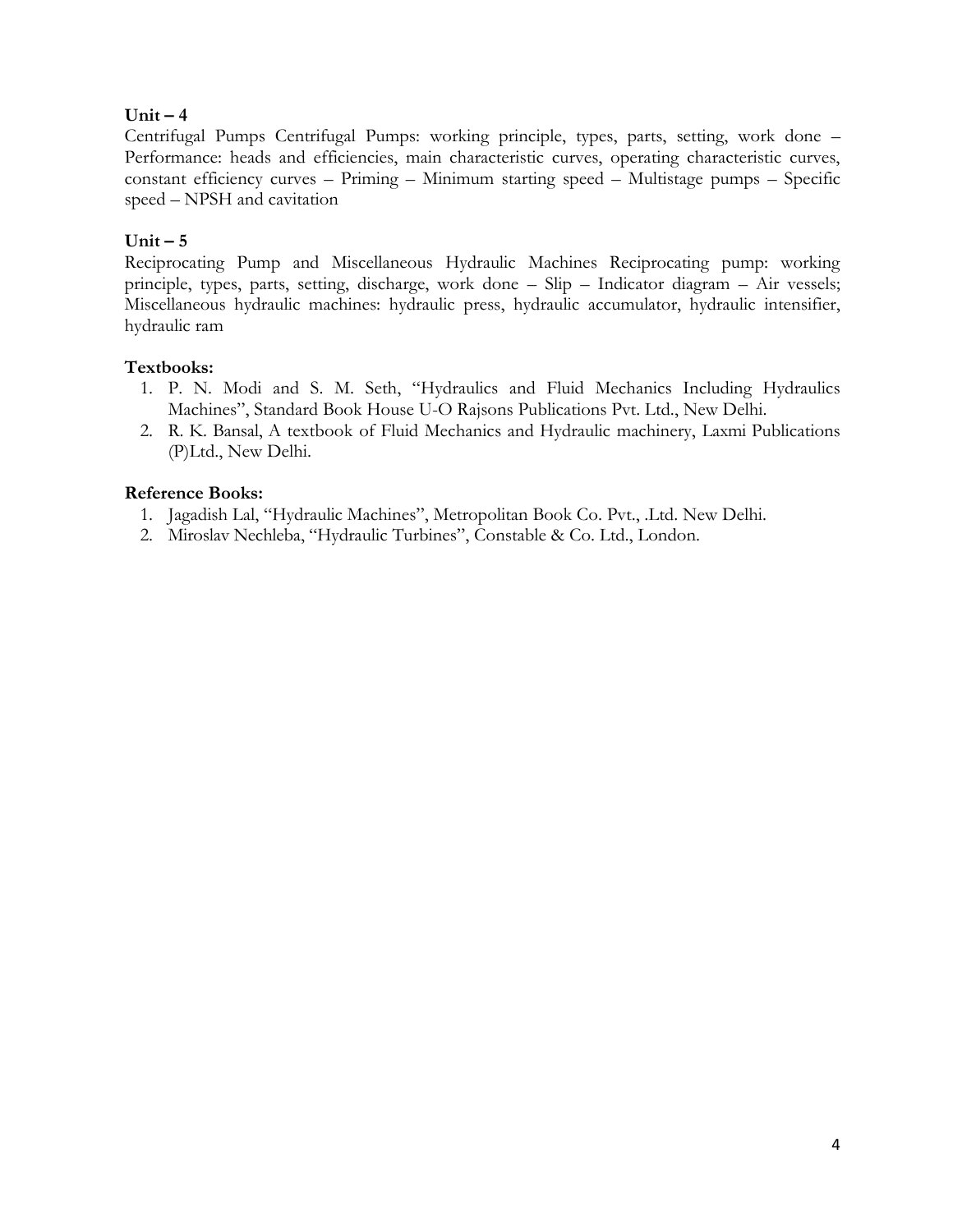# $Unit - 4$

Centrifugal Pumps Centrifugal Pumps: working principle, types, parts, setting, work done – Performance: heads and efficiencies, main characteristic curves, operating characteristic curves, constant efficiency curves – Priming – Minimum starting speed – Multistage pumps – Specific speed – NPSH and cavitation

# **Unit – 5**

Reciprocating Pump and Miscellaneous Hydraulic Machines Reciprocating pump: working principle, types, parts, setting, discharge, work done – Slip – Indicator diagram – Air vessels; Miscellaneous hydraulic machines: hydraulic press, hydraulic accumulator, hydraulic intensifier, hydraulic ram

## **Textbooks:**

- 1. P. N. Modi and S. M. Seth, "Hydraulics and Fluid Mechanics Including Hydraulics Machines", [Standard Book House U-O](https://www.standardbookhouse.com/standardbookhouse) [Rajsons Publications Pvt. Ltd.,](https://www.standardbookhouse.com/standardbookhouse) New Delhi.
- 2. R. K. Bansal, A textbook of Fluid Mechanics and Hydraulic machinery, Laxmi Publications (P)Ltd., New Delhi.

- 1. Jagadish Lal, "Hydraulic Machines", Metropolitan Book Co. Pvt., .Ltd. New Delhi.
- 2. Miroslav Nechleba, "Hydraulic Turbines", Constable & Co. Ltd., London.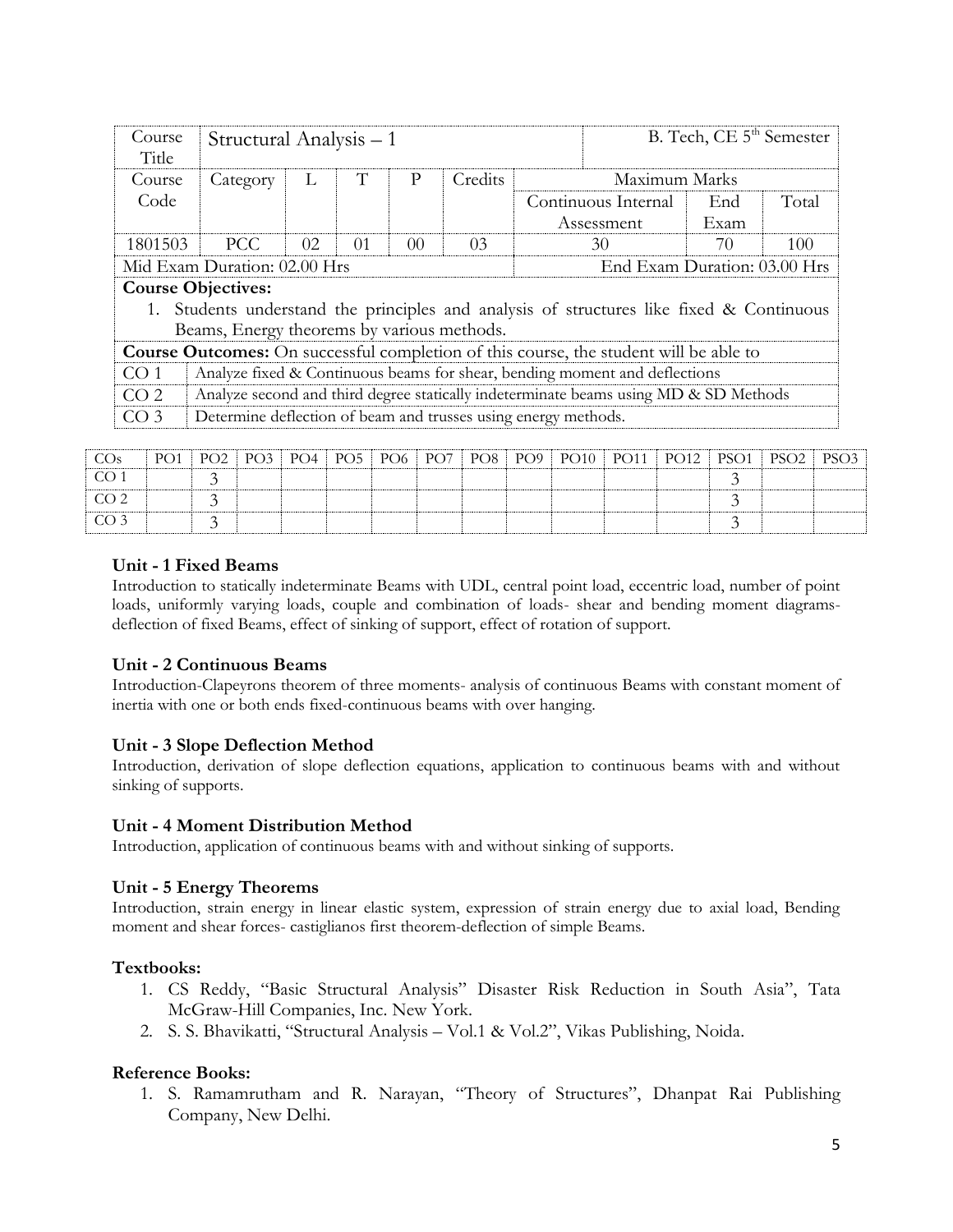| Course<br>Title | Structural Analysis – 1                    |     |    |                |                |                                                                                              | B. Tech, CE 5 <sup>th</sup> Semester |       |
|-----------------|--------------------------------------------|-----|----|----------------|----------------|----------------------------------------------------------------------------------------------|--------------------------------------|-------|
| Course          | Category                                   | L   | T  | P              | Credits        | Maximum Marks                                                                                |                                      |       |
| Code            |                                            |     |    |                |                | Continuous Internal                                                                          | End                                  | Total |
|                 |                                            |     |    |                |                | Assessment                                                                                   | Exam                                 |       |
| 1801503         | PCC                                        | 02. | 01 | 0 <sup>0</sup> | 0 <sub>3</sub> | 30                                                                                           | 70                                   | 100   |
|                 | Mid Exam Duration: 02.00 Hrs               |     |    |                |                | End Exam Duration: 03.00 Hrs                                                                 |                                      |       |
|                 | <b>Course Objectives:</b>                  |     |    |                |                |                                                                                              |                                      |       |
|                 |                                            |     |    |                |                | 1. Students understand the principles and analysis of structures like fixed & Continuous     |                                      |       |
|                 | Beams, Energy theorems by various methods. |     |    |                |                |                                                                                              |                                      |       |
|                 |                                            |     |    |                |                | <b>Course Outcomes:</b> On successful completion of this course, the student will be able to |                                      |       |
| CO <sub>1</sub> |                                            |     |    |                |                | Analyze fixed & Continuous beams for shear, bending moment and deflections                   |                                      |       |
| CO <sub>2</sub> |                                            |     |    |                |                | Analyze second and third degree statically indeterminate beams using MD & SD Methods         |                                      |       |
| CO <sub>3</sub> |                                            |     |    |                |                | Determine deflection of beam and trusses using energy methods.                               |                                      |       |

| $\cos$           |  |  |  |  | PO1   PO2   PO3   PO4   PO5   PO6   PO7   PO8   PO9   PO10   PO11   PO12   PSO1   PSO2   PSO3 |  |  |  |
|------------------|--|--|--|--|-----------------------------------------------------------------------------------------------|--|--|--|
| $\overline{O}$ 1 |  |  |  |  |                                                                                               |  |  |  |
| CO 2.            |  |  |  |  |                                                                                               |  |  |  |
| CO 3             |  |  |  |  |                                                                                               |  |  |  |

### **Unit - 1 Fixed Beams**

Introduction to statically indeterminate Beams with UDL, central point load, eccentric load, number of point loads, uniformly varying loads, couple and combination of loads- shear and bending moment diagramsdeflection of fixed Beams, effect of sinking of support, effect of rotation of support.

### **Unit - 2 Continuous Beams**

Introduction-Clapeyrons theorem of three moments- analysis of continuous Beams with constant moment of inertia with one or both ends fixed-continuous beams with over hanging.

## **Unit - 3 Slope Deflection Method**

Introduction, derivation of slope deflection equations, application to continuous beams with and without sinking of supports.

### **Unit - 4 Moment Distribution Method**

Introduction, application of continuous beams with and without sinking of supports.

### **Unit - 5 Energy Theorems**

Introduction, strain energy in linear elastic system, expression of strain energy due to axial load, Bending moment and shear forces- castiglianos first theorem-deflection of simple Beams.

### **Textbooks:**

- 1. CS Reddy, "Basic Structural Analysis" Disaster Risk Reduction in South Asia", Tata McGraw-Hill Companies, Inc. New York.
- 2. S. S. Bhavikatti, "Structural Analysis Vol.1 & Vol.2", Vikas Publishing, Noida.

### **Reference Books:**

1. S. Ramamrutham and R. Narayan, "Theory of Structures", Dhanpat Rai Publishing Company, New Delhi.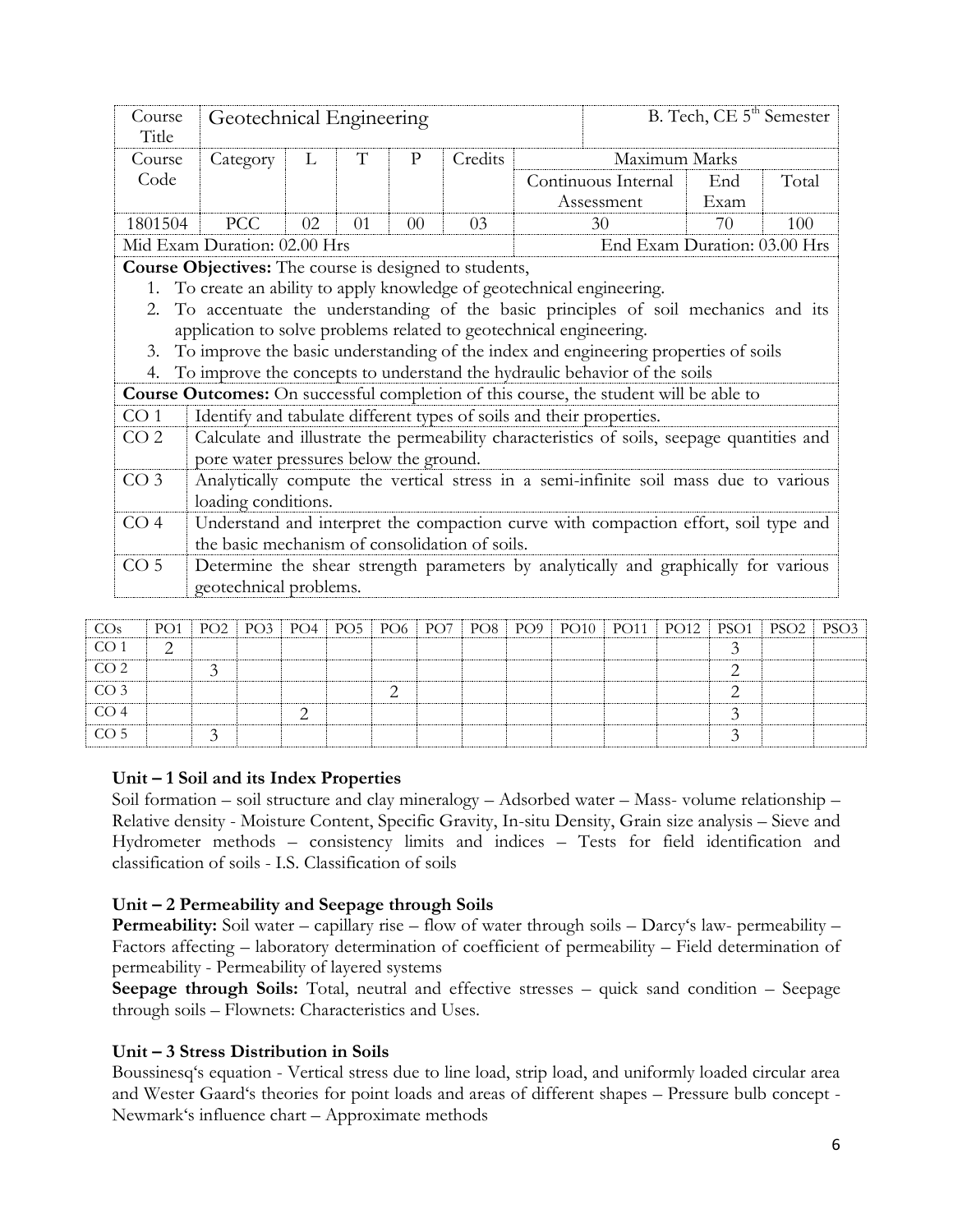| Course<br>Title | Geotechnical Engineering                                             |                                                                                   |          |                 |         |  |                                                                                            | B. Tech, CE 5 <sup>th</sup> Semester |       |  |  |  |  |  |
|-----------------|----------------------------------------------------------------------|-----------------------------------------------------------------------------------|----------|-----------------|---------|--|--------------------------------------------------------------------------------------------|--------------------------------------|-------|--|--|--|--|--|
| Course          | Category                                                             | L                                                                                 | T        | $\mathbf{P}$    | Credits |  | Maximum Marks                                                                              |                                      |       |  |  |  |  |  |
| Code            |                                                                      |                                                                                   |          |                 |         |  | Continuous Internal                                                                        | End                                  | Total |  |  |  |  |  |
|                 |                                                                      |                                                                                   |          |                 |         |  | Assessment                                                                                 | Exam                                 |       |  |  |  |  |  |
| 1801504         | <b>PCC</b>                                                           | 02                                                                                | $\Omega$ | 00 <sup>2</sup> | 03      |  | 30                                                                                         | 70                                   | 100   |  |  |  |  |  |
|                 |                                                                      | End Exam Duration: 03.00 Hrs<br>Mid Exam Duration: 02.00 Hrs                      |          |                 |         |  |                                                                                            |                                      |       |  |  |  |  |  |
|                 |                                                                      | <b>Course Objectives:</b> The course is designed to students,                     |          |                 |         |  |                                                                                            |                                      |       |  |  |  |  |  |
| 1.              |                                                                      | To create an ability to apply knowledge of geotechnical engineering.              |          |                 |         |  |                                                                                            |                                      |       |  |  |  |  |  |
| 2.              |                                                                      | To accentuate the understanding of the basic principles of soil mechanics and its |          |                 |         |  |                                                                                            |                                      |       |  |  |  |  |  |
|                 | application to solve problems related to geotechnical engineering.   |                                                                                   |          |                 |         |  |                                                                                            |                                      |       |  |  |  |  |  |
| 3.              |                                                                      |                                                                                   |          |                 |         |  | To improve the basic understanding of the index and engineering properties of soils        |                                      |       |  |  |  |  |  |
| 4.              |                                                                      |                                                                                   |          |                 |         |  | To improve the concepts to understand the hydraulic behavior of the soils                  |                                      |       |  |  |  |  |  |
|                 |                                                                      |                                                                                   |          |                 |         |  | Course Outcomes: On successful completion of this course, the student will be able to      |                                      |       |  |  |  |  |  |
| CO <sub>1</sub> | Identify and tabulate different types of soils and their properties. |                                                                                   |          |                 |         |  |                                                                                            |                                      |       |  |  |  |  |  |
| CO <sub>2</sub> |                                                                      |                                                                                   |          |                 |         |  | Calculate and illustrate the permeability characteristics of soils, seepage quantities and |                                      |       |  |  |  |  |  |
|                 | pore water pressures below the ground.                               |                                                                                   |          |                 |         |  |                                                                                            |                                      |       |  |  |  |  |  |
| CO <sub>3</sub> |                                                                      |                                                                                   |          |                 |         |  | Analytically compute the vertical stress in a semi-infinite soil mass due to various       |                                      |       |  |  |  |  |  |
|                 | loading conditions.                                                  |                                                                                   |          |                 |         |  |                                                                                            |                                      |       |  |  |  |  |  |
| CO <sub>4</sub> |                                                                      |                                                                                   |          |                 |         |  | Understand and interpret the compaction curve with compaction effort, soil type and        |                                      |       |  |  |  |  |  |
|                 | the basic mechanism of consolidation of soils.                       |                                                                                   |          |                 |         |  |                                                                                            |                                      |       |  |  |  |  |  |
| CO <sub>5</sub> |                                                                      |                                                                                   |          |                 |         |  | Determine the shear strength parameters by analytically and graphically for various        |                                      |       |  |  |  |  |  |
|                 | geotechnical problems.                                               |                                                                                   |          |                 |         |  |                                                                                            |                                      |       |  |  |  |  |  |

| CO <sub>s</sub>  |  |  |  |  |  |  | PO1   PO2   PO3   PO4   PO5   PO6   PO7   PO8   PO9   PO10   PO11   PO12   PSO1   PSO2   PSO3 |  |
|------------------|--|--|--|--|--|--|-----------------------------------------------------------------------------------------------|--|
| CO <sub>1</sub>  |  |  |  |  |  |  |                                                                                               |  |
| CO <sub>2</sub>  |  |  |  |  |  |  |                                                                                               |  |
| CO <sub>3</sub>  |  |  |  |  |  |  |                                                                                               |  |
| CO <sub>4</sub>  |  |  |  |  |  |  |                                                                                               |  |
| $\overline{CO5}$ |  |  |  |  |  |  |                                                                                               |  |

## **Unit – 1 Soil and its Index Properties**

Soil formation – soil structure and clay mineralogy – Adsorbed water – Mass- volume relationship – Relative density - Moisture Content, Specific Gravity, In-situ Density, Grain size analysis – Sieve and Hydrometer methods – consistency limits and indices – Tests for field identification and classification of soils - I.S. Classification of soils

## **Unit – 2 Permeability and Seepage through Soils**

**Permeability:** Soil water – capillary rise – flow of water through soils – Darcy's law- permeability – Factors affecting – laboratory determination of coefficient of permeability – Field determination of permeability - Permeability of layered systems

**Seepage through Soils:** Total, neutral and effective stresses – quick sand condition – Seepage through soils – Flownets: Characteristics and Uses.

## **Unit – 3 Stress Distribution in Soils**

Boussinesq's equation - Vertical stress due to line load, strip load, and uniformly loaded circular area and Wester Gaard's theories for point loads and areas of different shapes – Pressure bulb concept - Newmark's influence chart – Approximate methods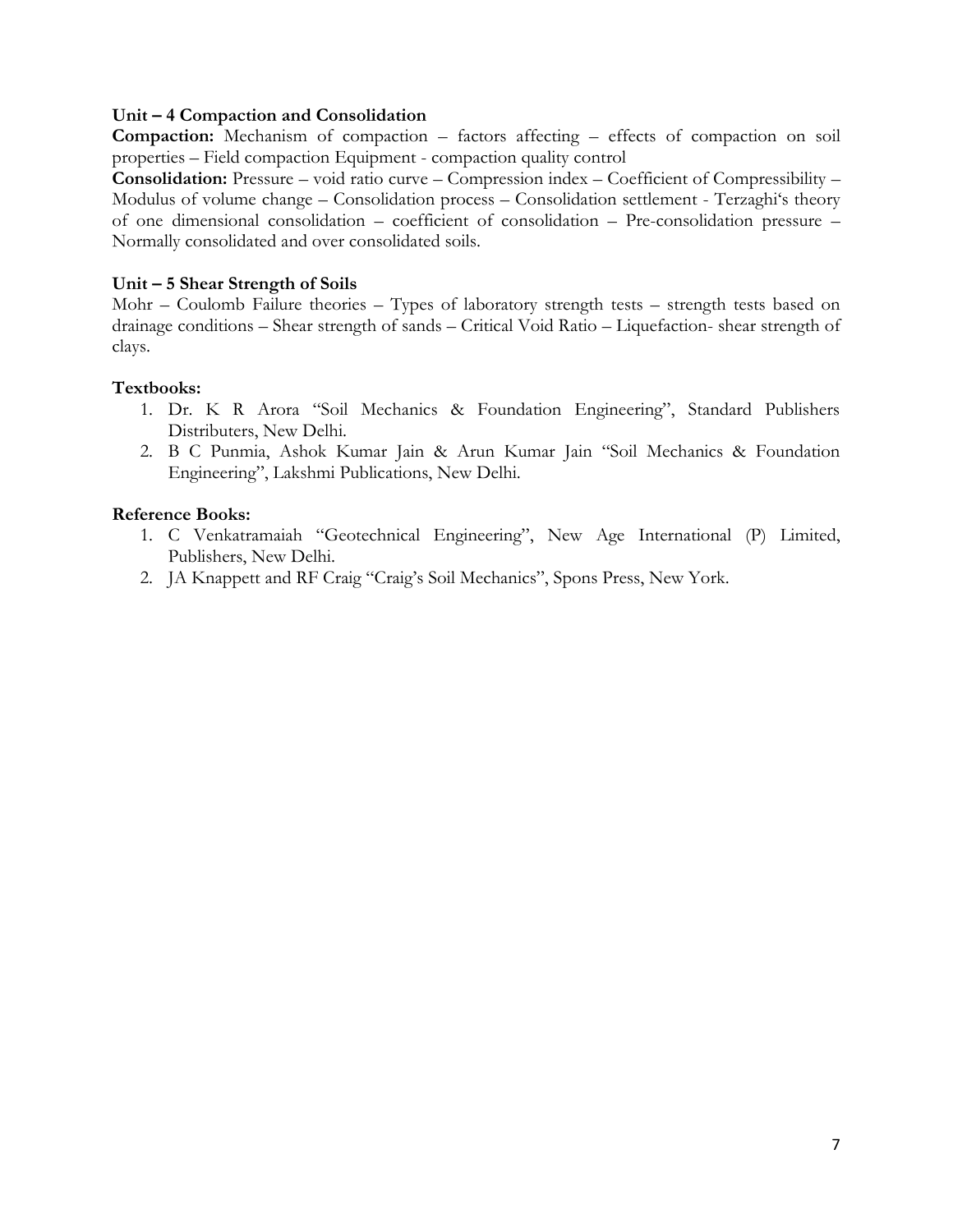### **Unit – 4 Compaction and Consolidation**

**Compaction:** Mechanism of compaction – factors affecting – effects of compaction on soil properties – Field compaction Equipment - compaction quality control

**Consolidation:** Pressure – void ratio curve – Compression index – Coefficient of Compressibility – Modulus of volume change – Consolidation process – Consolidation settlement - Terzaghi's theory of one dimensional consolidation – coefficient of consolidation – Pre-consolidation pressure – Normally consolidated and over consolidated soils.

### **Unit – 5 Shear Strength of Soils**

Mohr – Coulomb Failure theories – Types of laboratory strength tests – strength tests based on drainage conditions – Shear strength of sands – Critical Void Ratio – Liquefaction- shear strength of clays.

### **Textbooks:**

- 1. Dr. K R Arora "Soil Mechanics & Foundation Engineering", Standard Publishers Distributers, New Delhi.
- 2. B C Punmia, Ashok Kumar Jain & Arun Kumar Jain "Soil Mechanics & Foundation Engineering", Lakshmi Publications, New Delhi.

- 1. C Venkatramaiah "Geotechnical Engineering", New Age International (P) Limited, Publishers, New Delhi.
- 2. JA Knappett and RF Craig "Craig's Soil Mechanics", Spons Press, New York.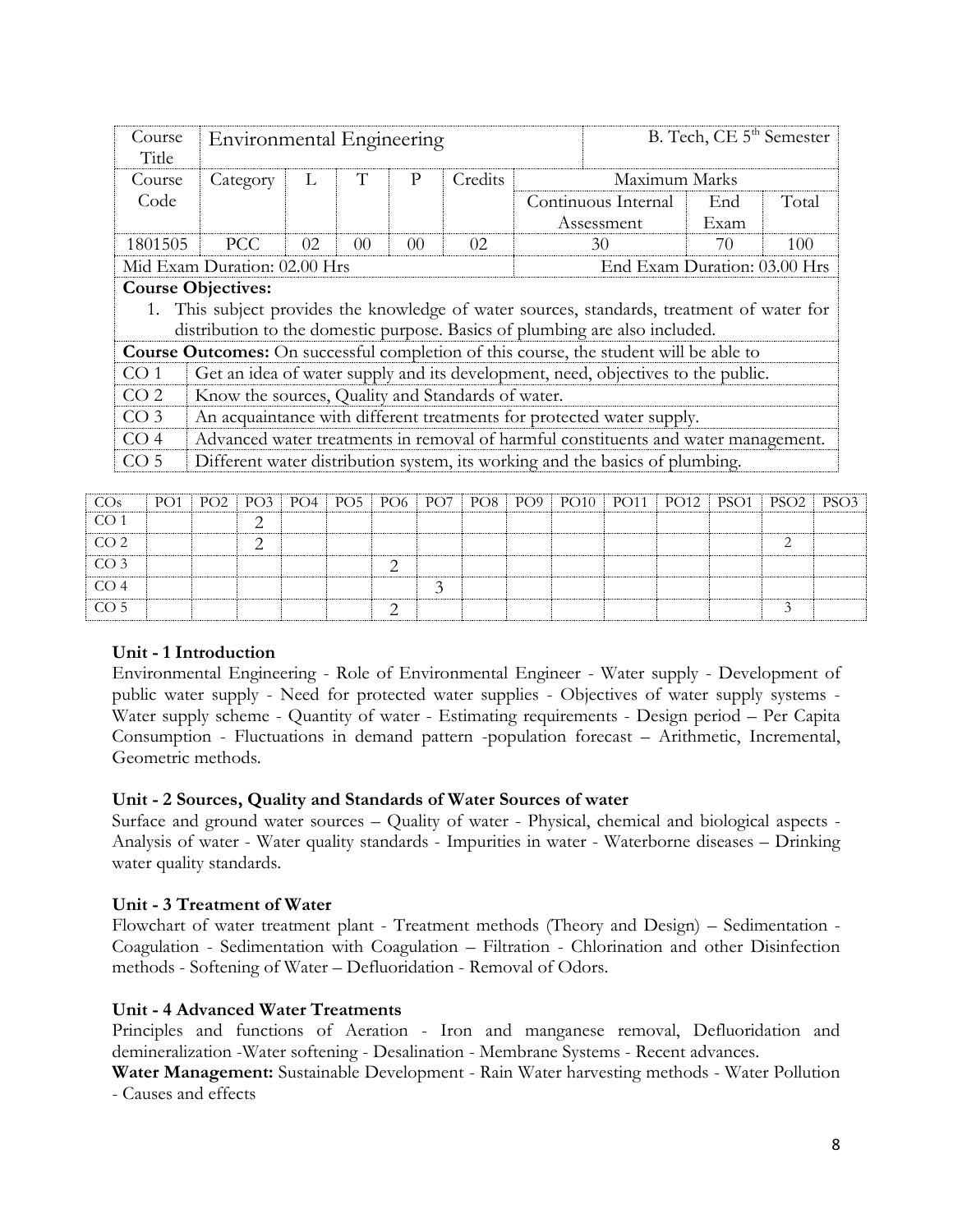| Course<br>Title | Environmental Engineering                                                               |     |                 |                 |         |  |                                                                                       | B. Tech, CE 5 <sup>th</sup> Semester |       |  |  |  |  |
|-----------------|-----------------------------------------------------------------------------------------|-----|-----------------|-----------------|---------|--|---------------------------------------------------------------------------------------|--------------------------------------|-------|--|--|--|--|
| Course          | Category                                                                                | L   | T               | P               | Credits |  | Maximum Marks                                                                         |                                      |       |  |  |  |  |
| Code            |                                                                                         |     |                 |                 |         |  | Continuous Internal                                                                   | End                                  | Total |  |  |  |  |
|                 |                                                                                         |     |                 |                 |         |  | Assessment                                                                            | Exam                                 |       |  |  |  |  |
| 1801505         | PCC.                                                                                    | 02. | 00 <sup>2</sup> | 00 <sup>2</sup> | 02      |  | 30                                                                                    | 70                                   | 100   |  |  |  |  |
|                 | Mid Exam Duration: 02.00 Hrs                                                            |     |                 |                 |         |  | End Exam Duration: 03.00 Hrs                                                          |                                      |       |  |  |  |  |
|                 | <b>Course Objectives:</b>                                                               |     |                 |                 |         |  |                                                                                       |                                      |       |  |  |  |  |
|                 | This subject provides the knowledge of water sources, standards, treatment of water for |     |                 |                 |         |  |                                                                                       |                                      |       |  |  |  |  |
|                 |                                                                                         |     |                 |                 |         |  | distribution to the domestic purpose. Basics of plumbing are also included.           |                                      |       |  |  |  |  |
|                 |                                                                                         |     |                 |                 |         |  | Course Outcomes: On successful completion of this course, the student will be able to |                                      |       |  |  |  |  |
| CO <sub>1</sub> |                                                                                         |     |                 |                 |         |  | Get an idea of water supply and its development, need, objectives to the public.      |                                      |       |  |  |  |  |
| CO <sub>2</sub> | Know the sources, Quality and Standards of water.                                       |     |                 |                 |         |  |                                                                                       |                                      |       |  |  |  |  |
| CO <sub>3</sub> |                                                                                         |     |                 |                 |         |  | An acquaintance with different treatments for protected water supply.                 |                                      |       |  |  |  |  |
| CO <sub>4</sub> |                                                                                         |     |                 |                 |         |  | Advanced water treatments in removal of harmful constituents and water management.    |                                      |       |  |  |  |  |
| CO <sub>5</sub> |                                                                                         |     |                 |                 |         |  | Different water distribution system, its working and the basics of plumbing.          |                                      |       |  |  |  |  |

| CO <sub>s</sub> |  |  |  |  |  |  |  | PO1   PO2   PO3   PO4   PO5   PO6   PO7   PO8   PO9   PO10   PO11   PO12   PSO1   PSO2   PSO3 |
|-----------------|--|--|--|--|--|--|--|-----------------------------------------------------------------------------------------------|
| CO <sub>1</sub> |  |  |  |  |  |  |  |                                                                                               |
| CO <sub>2</sub> |  |  |  |  |  |  |  |                                                                                               |
| CO <sub>3</sub> |  |  |  |  |  |  |  |                                                                                               |
| CO <sub>4</sub> |  |  |  |  |  |  |  |                                                                                               |
| CO <sub>5</sub> |  |  |  |  |  |  |  |                                                                                               |

### **Unit - 1 Introduction**

Environmental Engineering - Role of Environmental Engineer - Water supply - Development of public water supply - Need for protected water supplies - Objectives of water supply systems - Water supply scheme - Quantity of water - Estimating requirements - Design period – Per Capita Consumption - Fluctuations in demand pattern -population forecast – Arithmetic, Incremental, Geometric methods.

## **Unit - 2 Sources, Quality and Standards of Water Sources of water**

Surface and ground water sources – Quality of water - Physical, chemical and biological aspects - Analysis of water - Water quality standards - Impurities in water - Waterborne diseases – Drinking water quality standards.

### **Unit - 3 Treatment of Water**

Flowchart of water treatment plant - Treatment methods (Theory and Design) – Sedimentation - Coagulation - Sedimentation with Coagulation – Filtration - Chlorination and other Disinfection methods - Softening of Water – Defluoridation - Removal of Odors.

## **Unit - 4 Advanced Water Treatments**

Principles and functions of Aeration - Iron and manganese removal, Defluoridation and demineralization -Water softening - Desalination - Membrane Systems - Recent advances.

**Water Management:** Sustainable Development - Rain Water harvesting methods - Water Pollution - Causes and effects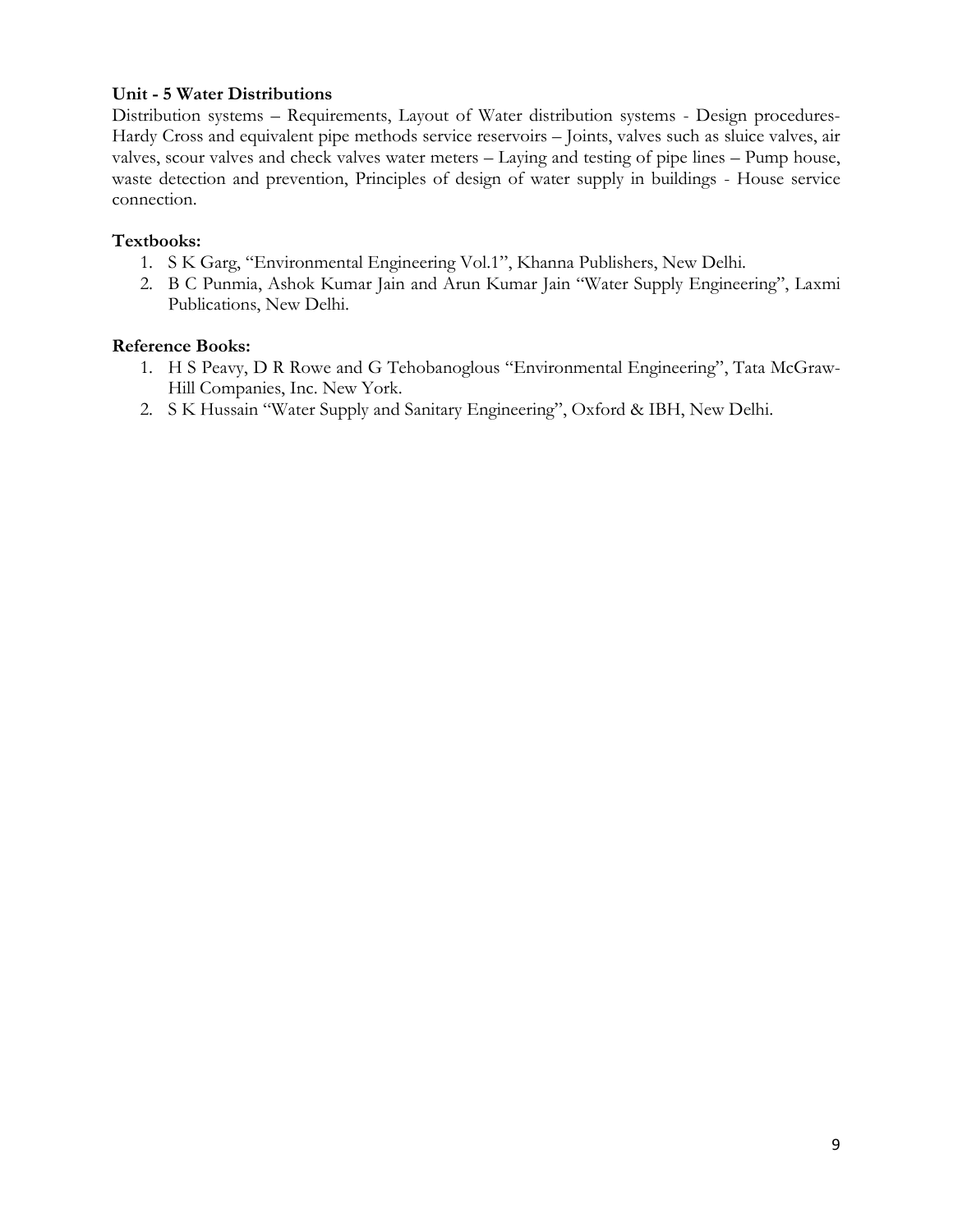# **Unit - 5 Water Distributions**

Distribution systems – Requirements, Layout of Water distribution systems - Design procedures-Hardy Cross and equivalent pipe methods service reservoirs – Joints, valves such as sluice valves, air valves, scour valves and check valves water meters – Laying and testing of pipe lines – Pump house, waste detection and prevention, Principles of design of water supply in buildings - House service connection.

## **Textbooks:**

- 1. S K Garg, "Environmental Engineering Vol.1", Khanna Publishers, New Delhi.
- 2. B C Punmia, Ashok Kumar Jain and Arun Kumar Jain "Water Supply Engineering", Laxmi Publications, New Delhi.

- 1. H S Peavy, D R Rowe and G Tehobanoglous "Environmental Engineering", Tata McGraw-Hill Companies, Inc. New York.
- 2. S K Hussain "Water Supply and Sanitary Engineering", Oxford & IBH, New Delhi.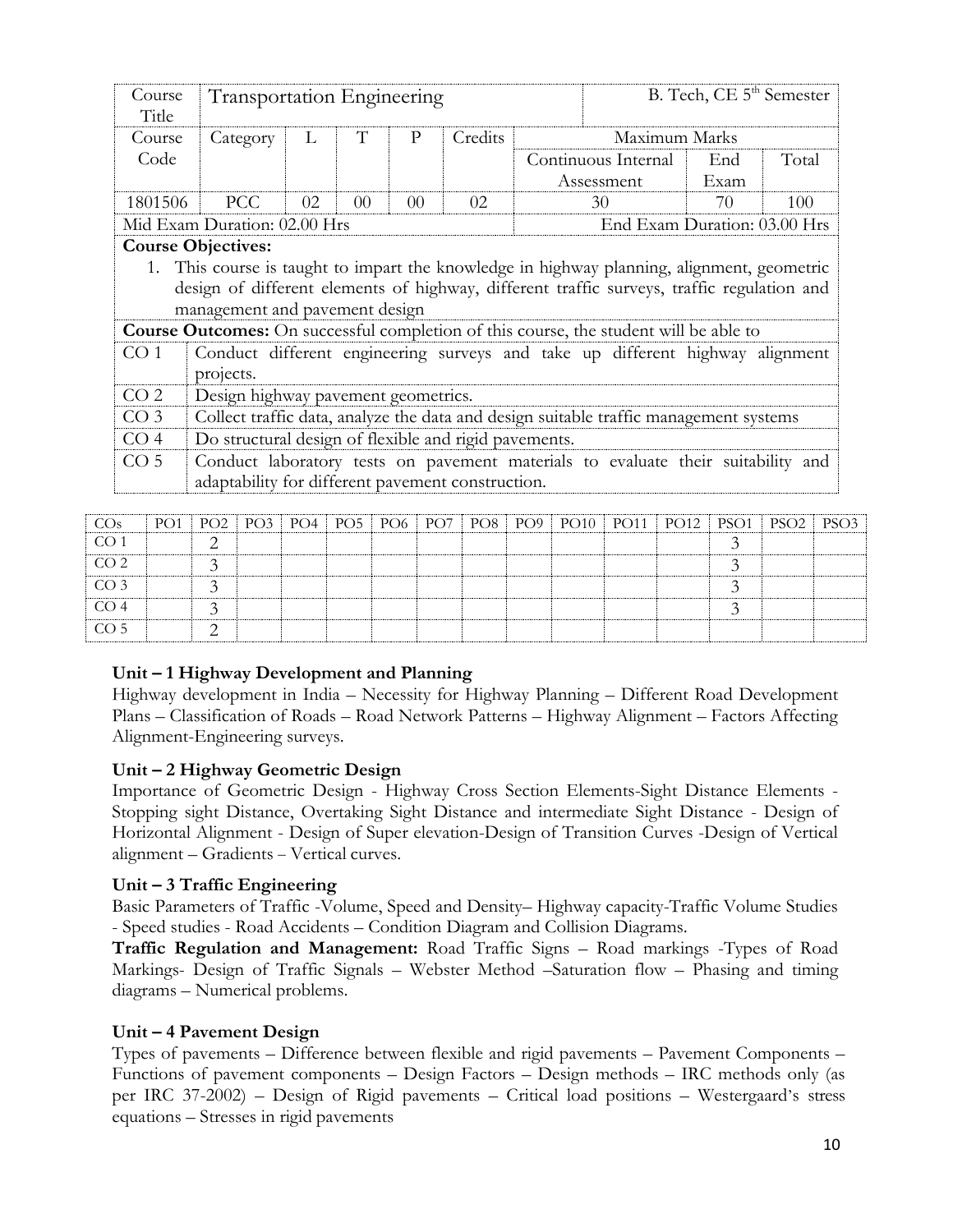| Course<br>Title | <b>Transportation Engineering</b>                                                          |    |                |                |         |  |                                                                                       | B. Tech, CE 5 <sup>th</sup> Semester |       |  |  |  |  |  |
|-----------------|--------------------------------------------------------------------------------------------|----|----------------|----------------|---------|--|---------------------------------------------------------------------------------------|--------------------------------------|-------|--|--|--|--|--|
| Course          | Category                                                                                   | L  | T              | P              | Credits |  | Maximum Marks                                                                         |                                      |       |  |  |  |  |  |
| Code            |                                                                                            |    |                |                |         |  | Continuous Internal                                                                   | End                                  | Total |  |  |  |  |  |
|                 |                                                                                            |    |                |                |         |  | Assessment                                                                            | Exam                                 |       |  |  |  |  |  |
| 1801506         | <b>PCC</b>                                                                                 | 02 | 0 <sup>0</sup> | 0 <sup>0</sup> | 02      |  | 30                                                                                    | 70                                   | 100   |  |  |  |  |  |
|                 | Mid Exam Duration: 02.00 Hrs                                                               |    |                |                |         |  | End Exam Duration: 03.00 Hrs                                                          |                                      |       |  |  |  |  |  |
|                 | <b>Course Objectives:</b>                                                                  |    |                |                |         |  |                                                                                       |                                      |       |  |  |  |  |  |
|                 | 1. This course is taught to impart the knowledge in highway planning, alignment, geometric |    |                |                |         |  |                                                                                       |                                      |       |  |  |  |  |  |
|                 | design of different elements of highway, different traffic surveys, traffic regulation and |    |                |                |         |  |                                                                                       |                                      |       |  |  |  |  |  |
|                 | management and pavement design                                                             |    |                |                |         |  |                                                                                       |                                      |       |  |  |  |  |  |
|                 |                                                                                            |    |                |                |         |  | Course Outcomes: On successful completion of this course, the student will be able to |                                      |       |  |  |  |  |  |
| CO 1            |                                                                                            |    |                |                |         |  | Conduct different engineering surveys and take up different highway alignment         |                                      |       |  |  |  |  |  |
|                 | projects.                                                                                  |    |                |                |         |  |                                                                                       |                                      |       |  |  |  |  |  |
| CO <sub>2</sub> | Design highway pavement geometrics.                                                        |    |                |                |         |  |                                                                                       |                                      |       |  |  |  |  |  |
| CO <sub>3</sub> |                                                                                            |    |                |                |         |  | Collect traffic data, analyze the data and design suitable traffic management systems |                                      |       |  |  |  |  |  |
| CO <sub>4</sub> | Do structural design of flexible and rigid pavements.                                      |    |                |                |         |  |                                                                                       |                                      |       |  |  |  |  |  |
| CO <sub>5</sub> |                                                                                            |    |                |                |         |  | Conduct laboratory tests on pavement materials to evaluate their suitability and      |                                      |       |  |  |  |  |  |
|                 | adaptability for different pavement construction.                                          |    |                |                |         |  |                                                                                       |                                      |       |  |  |  |  |  |

| $\cos$          |  |  |  |  |  |  | PO1   PO2   PO3   PO4   PO5   PO6   PO7   PO8   PO9   PO10   PO11   PO12   PSO1   PSO2   PSO3 |  |
|-----------------|--|--|--|--|--|--|-----------------------------------------------------------------------------------------------|--|
| CO <sub>1</sub> |  |  |  |  |  |  |                                                                                               |  |
| CO <sub>2</sub> |  |  |  |  |  |  |                                                                                               |  |
| CO <sub>3</sub> |  |  |  |  |  |  |                                                                                               |  |
| CO <sub>4</sub> |  |  |  |  |  |  |                                                                                               |  |
| CO <sub>5</sub> |  |  |  |  |  |  |                                                                                               |  |

## **Unit – 1 Highway Development and Planning**

Highway development in India – Necessity for Highway Planning – Different Road Development Plans – Classification of Roads – Road Network Patterns – Highway Alignment – Factors Affecting Alignment-Engineering surveys.

## **Unit – 2 Highway Geometric Design**

Importance of Geometric Design - Highway Cross Section Elements-Sight Distance Elements - Stopping sight Distance, Overtaking Sight Distance and intermediate Sight Distance - Design of Horizontal Alignment - Design of Super elevation-Design of Transition Curves -Design of Vertical alignment – Gradients – Vertical curves.

## **Unit – 3 Traffic Engineering**

Basic Parameters of Traffic -Volume, Speed and Density– Highway capacity-Traffic Volume Studies - Speed studies - Road Accidents – Condition Diagram and Collision Diagrams.

**Traffic Regulation and Management:** Road Traffic Signs – Road markings -Types of Road Markings- Design of Traffic Signals – Webster Method –Saturation flow – Phasing and timing diagrams – Numerical problems.

### **Unit – 4 Pavement Design**

Types of pavements – Difference between flexible and rigid pavements – Pavement Components – Functions of pavement components – Design Factors – Design methods – IRC methods only (as per IRC 37-2002) – Design of Rigid pavements – Critical load positions – Westergaard's stress equations – Stresses in rigid pavements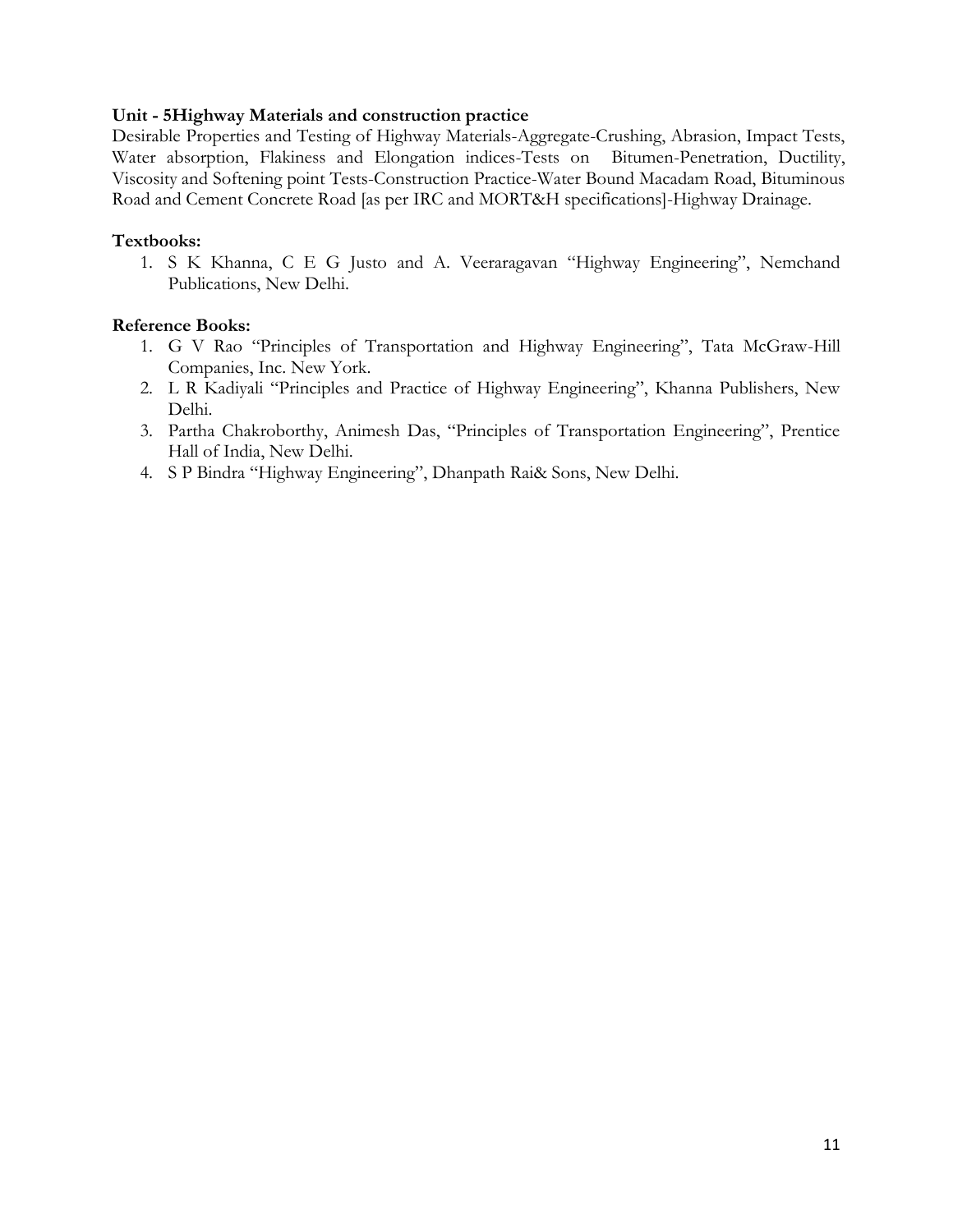## **Unit - 5Highway Materials and construction practice**

Desirable Properties and Testing of Highway Materials-Aggregate-Crushing, Abrasion, Impact Tests, Water absorption, Flakiness and Elongation indices-Tests on Bitumen-Penetration, Ductility, Viscosity and Softening point Tests-Construction Practice-Water Bound Macadam Road, Bituminous Road and Cement Concrete Road [as per IRC and MORT&H specifications]-Highway Drainage.

### **Textbooks:**

1. S K Khanna, C E G Justo and A. Veeraragavan "Highway Engineering", Nemchand Publications, New Delhi.

- 1. G V Rao "Principles of Transportation and Highway Engineering", Tata McGraw-Hill Companies, Inc. New York.
- 2. L R Kadiyali "Principles and Practice of Highway Engineering", Khanna Publishers, New Delhi.
- 3. Partha Chakroborthy, Animesh Das, "Principles of Transportation Engineering", Prentice Hall of India, New Delhi.
- 4. S P Bindra "Highway Engineering", Dhanpath Rai& Sons, New Delhi.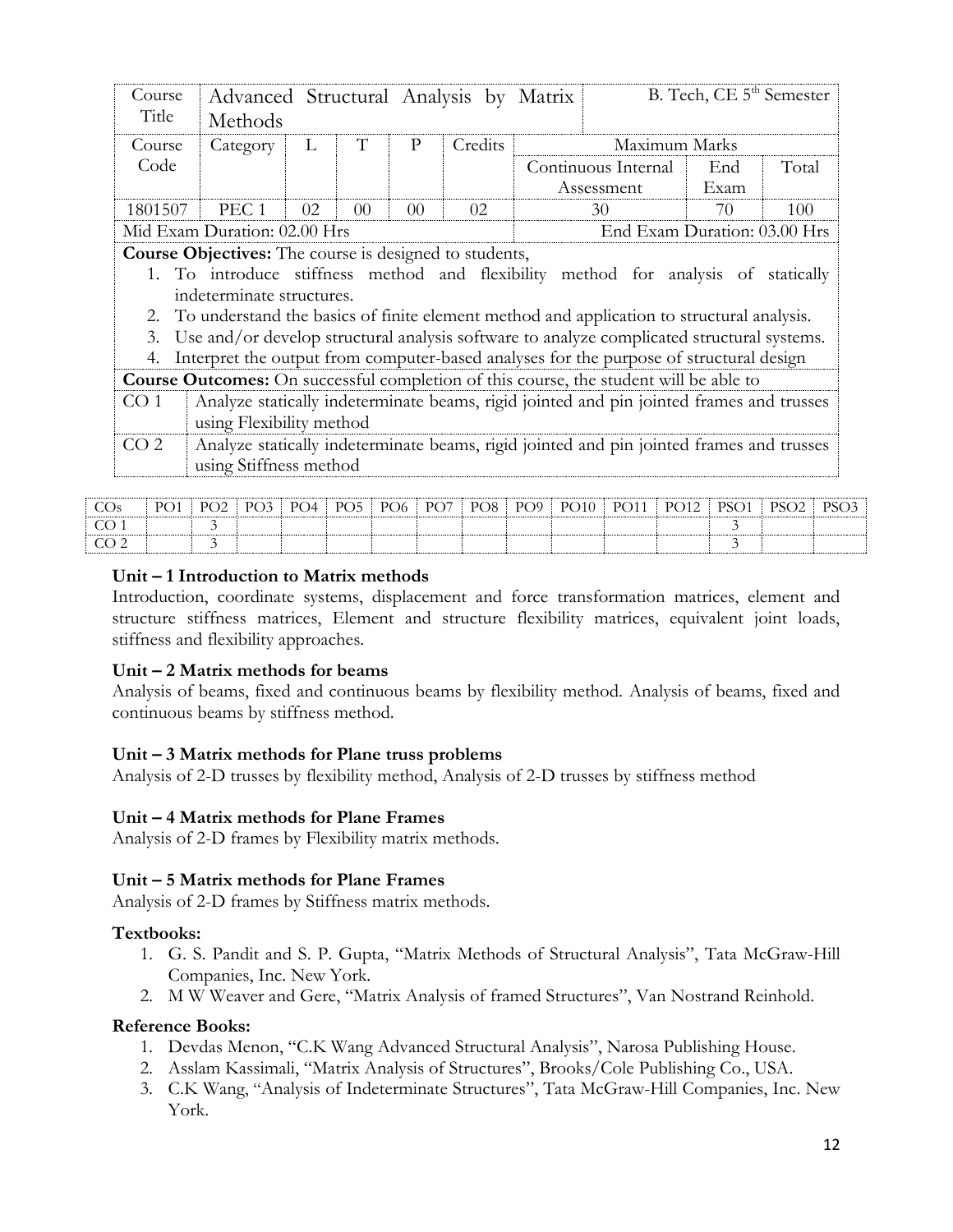| Course<br>Title | Advanced Structural Analysis by Matrix<br>Methods                                                                                                                                                                    |    |                |                 |         |                                                                                          | B. Tech, CE 5 <sup>th</sup> Semester |       |
|-----------------|----------------------------------------------------------------------------------------------------------------------------------------------------------------------------------------------------------------------|----|----------------|-----------------|---------|------------------------------------------------------------------------------------------|--------------------------------------|-------|
| Course          | Category                                                                                                                                                                                                             | L  | T              | P               | Credits | Maximum Marks                                                                            |                                      |       |
| Code            |                                                                                                                                                                                                                      |    |                |                 |         | Continuous Internal                                                                      | End                                  | Total |
|                 |                                                                                                                                                                                                                      |    |                | Assessment      | Exam    |                                                                                          |                                      |       |
| 1801507         | PEC <sub>1</sub>                                                                                                                                                                                                     | 02 | 0 <sup>0</sup> | 00 <sup>2</sup> | 02      | 30                                                                                       | 70                                   | 100   |
|                 | Mid Exam Duration: 02.00 Hrs                                                                                                                                                                                         |    |                |                 |         | End Exam Duration: 03.00 Hrs                                                             |                                      |       |
|                 | <b>Course Objectives:</b> The course is designed to students,<br>1. To introduce stiffness method and flexibility method for analysis of statically                                                                  |    |                |                 |         |                                                                                          |                                      |       |
| 2.<br>3.        | indeterminate structures.<br>To understand the basics of finite element method and application to structural analysis.<br>Use and/or develop structural analysis software to analyze complicated structural systems. |    |                |                 |         |                                                                                          |                                      |       |
| 4.              | Interpret the output from computer-based analyses for the purpose of structural design                                                                                                                               |    |                |                 |         |                                                                                          |                                      |       |
|                 | <b>Course Outcomes:</b> On successful completion of this course, the student will be able to                                                                                                                         |    |                |                 |         |                                                                                          |                                      |       |
| CO <sub>1</sub> | using Flexibility method                                                                                                                                                                                             |    |                |                 |         | Analyze statically indeterminate beams, rigid jointed and pin jointed frames and trusses |                                      |       |

| COs | P <sub>O1</sub> |  |  |  |  | PO2   PO3   PO4   PO5   PO6   PO7   PO8   PO9   PO10   PO11   PO12   PSO1   PSO2 |  |  | $\overline{DS}(1)$ |
|-----|-----------------|--|--|--|--|----------------------------------------------------------------------------------|--|--|--------------------|
|     |                 |  |  |  |  |                                                                                  |  |  |                    |
|     |                 |  |  |  |  |                                                                                  |  |  |                    |

## **Unit – 1 Introduction to Matrix methods**

Introduction, coordinate systems, displacement and force transformation matrices, element and structure stiffness matrices, Element and structure flexibility matrices, equivalent joint loads, stiffness and flexibility approaches.

### **Unit – 2 Matrix methods for beams**

Analysis of beams, fixed and continuous beams by flexibility method. Analysis of beams, fixed and continuous beams by stiffness method.

### **Unit – 3 Matrix methods for Plane truss problems**

Analysis of 2-D trusses by flexibility method, Analysis of 2-D trusses by stiffness method

### **Unit – 4 Matrix methods for Plane Frames**

Analysis of 2-D frames by Flexibility matrix methods.

### **Unit – 5 Matrix methods for Plane Frames**

Analysis of 2-D frames by Stiffness matrix methods.

### **Textbooks:**

- 1. G. S. Pandit and S. P. Gupta, "Matrix Methods of Structural Analysis", Tata McGraw-Hill Companies, Inc. New York.
- 2. M W Weaver and Gere, "Matrix Analysis of framed Structures", Van Nostrand Reinhold.

- 1. Devdas Menon, "C.K Wang Advanced Structural Analysis", Narosa Publishing House.
- 2. Asslam Kassimali, "Matrix Analysis of Structures", Brooks/Cole Publishing Co., USA.
- 3. C.K Wang, "Analysis of Indeterminate Structures", Tata McGraw-Hill Companies, Inc. New York.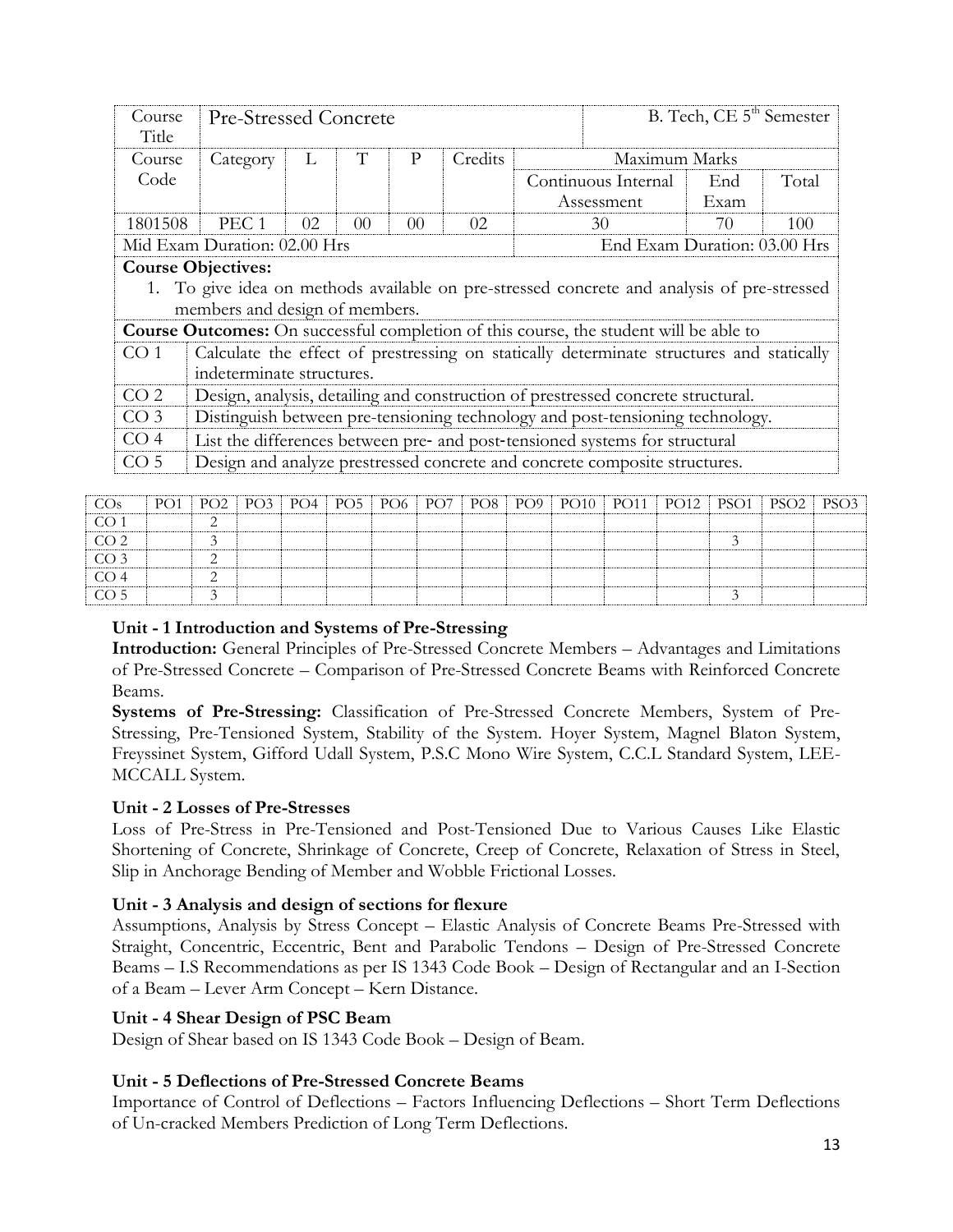| Course<br>Title | <b>Pre-Stressed Concrete</b>   |                                                              |                 |                |         |  |                                                                                              | B. Tech, CE 5 <sup>th</sup> Semester |       |  |  |  |  |  |  |
|-----------------|--------------------------------|--------------------------------------------------------------|-----------------|----------------|---------|--|----------------------------------------------------------------------------------------------|--------------------------------------|-------|--|--|--|--|--|--|
| Course          | Category                       | L                                                            | T               | P              | Credits |  | Maximum Marks                                                                                |                                      |       |  |  |  |  |  |  |
| Code            |                                |                                                              |                 |                |         |  | Continuous Internal                                                                          | End                                  | Total |  |  |  |  |  |  |
|                 |                                |                                                              |                 |                |         |  | Assessment                                                                                   | Exam                                 |       |  |  |  |  |  |  |
| 1801508         | PEC <sub>1</sub>               | 02.                                                          | 00 <sup>2</sup> | 0 <sup>0</sup> | 02.     |  | 30                                                                                           | 70                                   | 100   |  |  |  |  |  |  |
|                 |                                | End Exam Duration: 03.00 Hrs<br>Mid Exam Duration: 02.00 Hrs |                 |                |         |  |                                                                                              |                                      |       |  |  |  |  |  |  |
|                 | <b>Course Objectives:</b>      |                                                              |                 |                |         |  |                                                                                              |                                      |       |  |  |  |  |  |  |
|                 |                                |                                                              |                 |                |         |  | 1. To give idea on methods available on pre-stressed concrete and analysis of pre-stressed   |                                      |       |  |  |  |  |  |  |
|                 | members and design of members. |                                                              |                 |                |         |  |                                                                                              |                                      |       |  |  |  |  |  |  |
|                 |                                |                                                              |                 |                |         |  | <b>Course Outcomes:</b> On successful completion of this course, the student will be able to |                                      |       |  |  |  |  |  |  |
| CO <sub>1</sub> |                                |                                                              |                 |                |         |  | Calculate the effect of prestressing on statically determinate structures and statically     |                                      |       |  |  |  |  |  |  |
|                 | indeterminate structures.      |                                                              |                 |                |         |  |                                                                                              |                                      |       |  |  |  |  |  |  |
| CO <sub>2</sub> |                                |                                                              |                 |                |         |  | Design, analysis, detailing and construction of prestressed concrete structural.             |                                      |       |  |  |  |  |  |  |
| CO <sub>3</sub> |                                |                                                              |                 |                |         |  | Distinguish between pre-tensioning technology and post-tensioning technology.                |                                      |       |  |  |  |  |  |  |
| CO <sub>4</sub> |                                |                                                              |                 |                |         |  | List the differences between pre- and post-tensioned systems for structural                  |                                      |       |  |  |  |  |  |  |
| CO <sub>5</sub> |                                |                                                              |                 |                |         |  | Design and analyze prestressed concrete and concrete composite structures.                   |                                      |       |  |  |  |  |  |  |

| CO <sub>s</sub>  |        |  |  |  |  |  |  | PO1   PO2   PO3   PO4   PO5   PO6   PO7   PO8   PO9   PO10   PO11   PO12   PSO1   PSO2   PSO3 |
|------------------|--------|--|--|--|--|--|--|-----------------------------------------------------------------------------------------------|
| CO <sub>1</sub>  | $\sim$ |  |  |  |  |  |  |                                                                                               |
| $\overline{CO2}$ |        |  |  |  |  |  |  |                                                                                               |
| $\overline{CO3}$ |        |  |  |  |  |  |  |                                                                                               |
| CO <sub>4</sub>  |        |  |  |  |  |  |  |                                                                                               |
| $\overline{CO5}$ |        |  |  |  |  |  |  |                                                                                               |

## **Unit - 1 Introduction and Systems of Pre-Stressing**

**Introduction:** General Principles of Pre-Stressed Concrete Members – Advantages and Limitations of Pre-Stressed Concrete – Comparison of Pre-Stressed Concrete Beams with Reinforced Concrete Beams.

**Systems of Pre-Stressing:** Classification of Pre-Stressed Concrete Members, System of Pre-Stressing, Pre-Tensioned System, Stability of the System. Hoyer System, Magnel Blaton System, Freyssinet System, Gifford Udall System, P.S.C Mono Wire System, C.C.L Standard System, LEE-MCCALL System.

## **Unit - 2 Losses of Pre-Stresses**

Loss of Pre-Stress in Pre-Tensioned and Post-Tensioned Due to Various Causes Like Elastic Shortening of Concrete, Shrinkage of Concrete, Creep of Concrete, Relaxation of Stress in Steel, Slip in Anchorage Bending of Member and Wobble Frictional Losses.

## **Unit - 3 Analysis and design of sections for flexure**

Assumptions, Analysis by Stress Concept – Elastic Analysis of Concrete Beams Pre-Stressed with Straight, Concentric, Eccentric, Bent and Parabolic Tendons – Design of Pre-Stressed Concrete Beams – I.S Recommendations as per IS 1343 Code Book – Design of Rectangular and an I-Section of a Beam – Lever Arm Concept – Kern Distance.

## **Unit - 4 Shear Design of PSC Beam**

Design of Shear based on IS 1343 Code Book – Design of Beam.

## **Unit - 5 Deflections of Pre-Stressed Concrete Beams**

Importance of Control of Deflections – Factors Influencing Deflections – Short Term Deflections of Un-cracked Members Prediction of Long Term Deflections.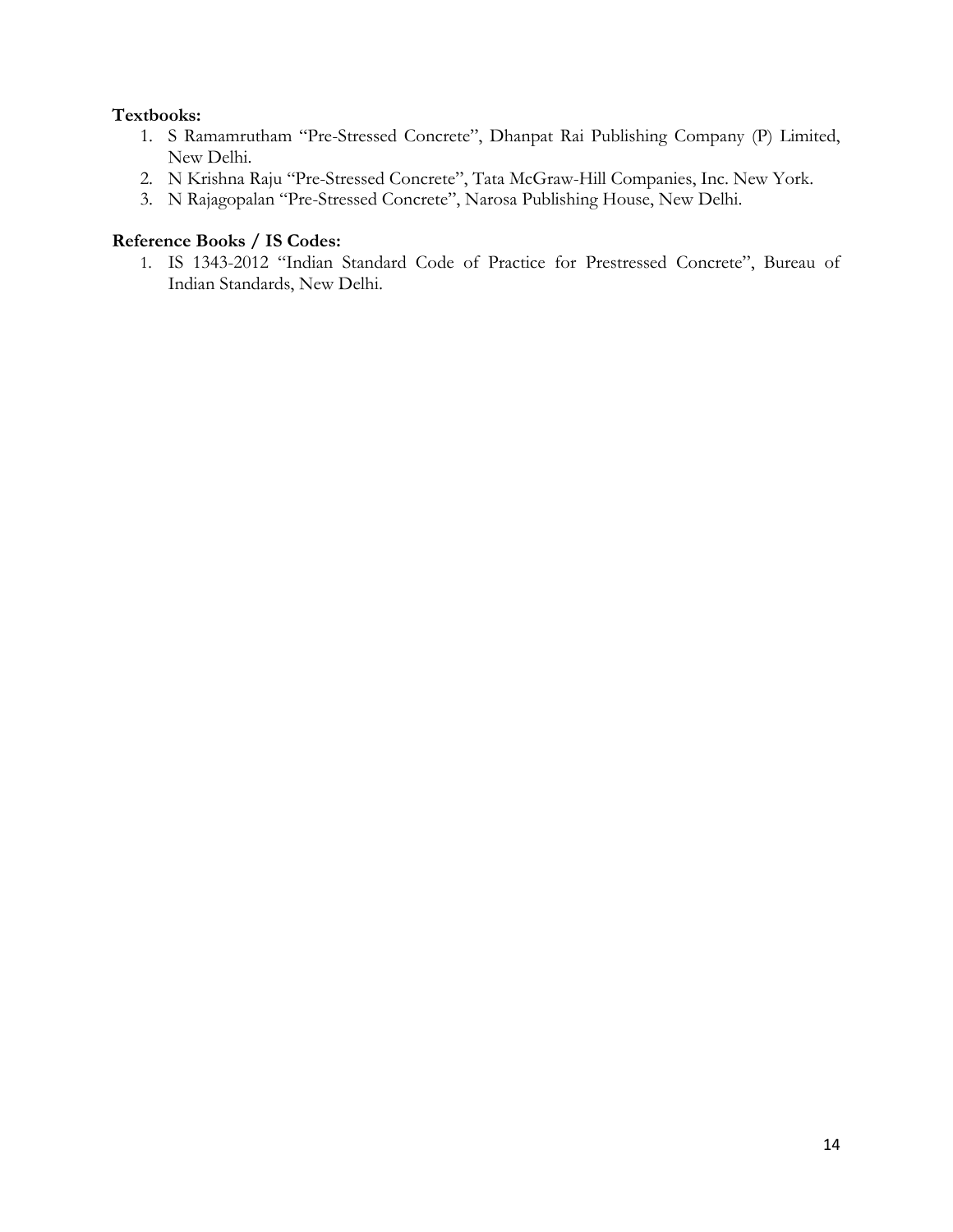# **Textbooks:**

- 1. S Ramamrutham "Pre-Stressed Concrete", Dhanpat Rai Publishing Company (P) Limited, New Delhi.
- 2. N Krishna Raju "Pre-Stressed Concrete", Tata McGraw-Hill Companies, Inc. New York.
- 3. N Rajagopalan "Pre-Stressed Concrete", Narosa Publishing House, New Delhi.

# **Reference Books / IS Codes:**

1. IS 1343-2012 "Indian Standard Code of Practice for Prestressed Concrete", Bureau of Indian Standards, New Delhi.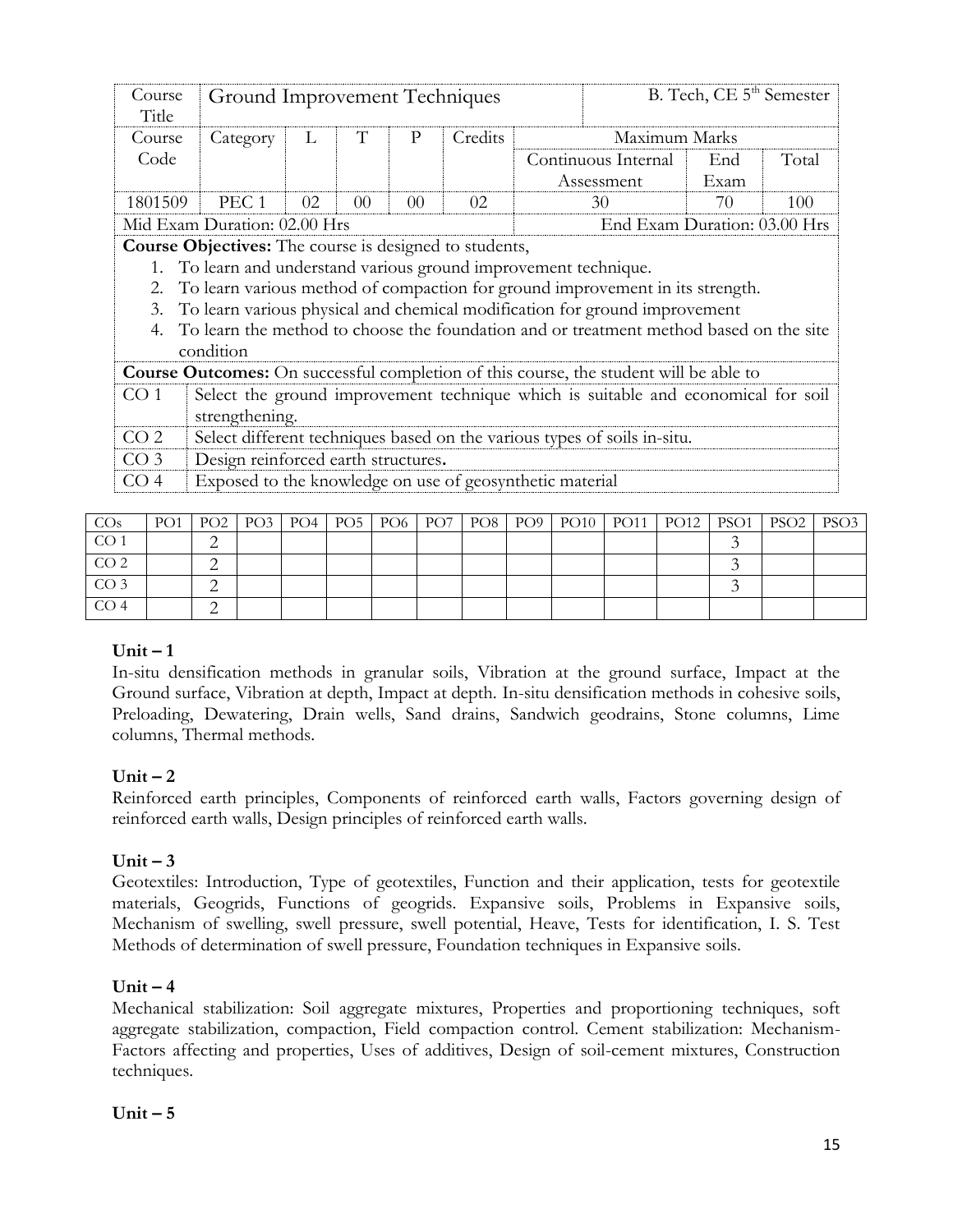| Course<br>Title | Ground Improvement Techniques                                                                                              |                                                              |                |                |         |  |                                                                                              | B. Tech, CE 5 <sup>th</sup> Semester |       |  |  |  |  |  |  |
|-----------------|----------------------------------------------------------------------------------------------------------------------------|--------------------------------------------------------------|----------------|----------------|---------|--|----------------------------------------------------------------------------------------------|--------------------------------------|-------|--|--|--|--|--|--|
| Course          | Category                                                                                                                   | L                                                            | T              | P              | Credits |  | Maximum Marks                                                                                |                                      |       |  |  |  |  |  |  |
| Code            |                                                                                                                            |                                                              |                |                |         |  | Continuous Internal                                                                          | End                                  | Total |  |  |  |  |  |  |
|                 |                                                                                                                            |                                                              |                |                |         |  | Assessment                                                                                   | Exam                                 |       |  |  |  |  |  |  |
| 1801509         | PEC <sub>1</sub>                                                                                                           | 02                                                           | 0 <sup>0</sup> | 0 <sup>0</sup> | 02      |  | 30                                                                                           | 70                                   | 100   |  |  |  |  |  |  |
|                 |                                                                                                                            | End Exam Duration: 03.00 Hrs<br>Mid Exam Duration: 02.00 Hrs |                |                |         |  |                                                                                              |                                      |       |  |  |  |  |  |  |
|                 | Course Objectives: The course is designed to students,<br>1. To learn and understand various ground improvement technique. |                                                              |                |                |         |  |                                                                                              |                                      |       |  |  |  |  |  |  |
|                 |                                                                                                                            |                                                              |                |                |         |  |                                                                                              |                                      |       |  |  |  |  |  |  |
| 2.              |                                                                                                                            |                                                              |                |                |         |  | To learn various method of compaction for ground improvement in its strength.                |                                      |       |  |  |  |  |  |  |
| 3.              |                                                                                                                            |                                                              |                |                |         |  | To learn various physical and chemical modification for ground improvement                   |                                      |       |  |  |  |  |  |  |
|                 |                                                                                                                            |                                                              |                |                |         |  | To learn the method to choose the foundation and or treatment method based on the site       |                                      |       |  |  |  |  |  |  |
|                 | condition                                                                                                                  |                                                              |                |                |         |  |                                                                                              |                                      |       |  |  |  |  |  |  |
|                 |                                                                                                                            |                                                              |                |                |         |  | <b>Course Outcomes:</b> On successful completion of this course, the student will be able to |                                      |       |  |  |  |  |  |  |
| CO <sub>1</sub> |                                                                                                                            |                                                              |                |                |         |  | Select the ground improvement technique which is suitable and economical for soil            |                                      |       |  |  |  |  |  |  |
|                 | strengthening.                                                                                                             |                                                              |                |                |         |  |                                                                                              |                                      |       |  |  |  |  |  |  |
| CO <sub>2</sub> |                                                                                                                            |                                                              |                |                |         |  | Select different techniques based on the various types of soils in-situ.                     |                                      |       |  |  |  |  |  |  |
| CO <sub>3</sub> | Design reinforced earth structures.                                                                                        |                                                              |                |                |         |  |                                                                                              |                                      |       |  |  |  |  |  |  |
| CO <sub>4</sub> | Exposed to the knowledge on use of geosynthetic material                                                                   |                                                              |                |                |         |  |                                                                                              |                                      |       |  |  |  |  |  |  |
|                 |                                                                                                                            |                                                              |                |                |         |  |                                                                                              |                                      |       |  |  |  |  |  |  |

| CO <sub>s</sub> | PO1   PO2   PO3   PO4   PO5   PO6   PO7   PO8   PO9 |  |  |  |  |  | $PSO1$   $PSO2$ | PSO3 |
|-----------------|-----------------------------------------------------|--|--|--|--|--|-----------------|------|
| CO              |                                                     |  |  |  |  |  |                 |      |
| CO <sub>2</sub> |                                                     |  |  |  |  |  |                 |      |
| CO <sub>3</sub> |                                                     |  |  |  |  |  |                 |      |
| CO <sub>4</sub> |                                                     |  |  |  |  |  |                 |      |

# $Unit - 1$

In-situ densification methods in granular soils, Vibration at the ground surface, Impact at the Ground surface, Vibration at depth, Impact at depth. In-situ densification methods in cohesive soils, Preloading, Dewatering, Drain wells, Sand drains, Sandwich geodrains, Stone columns, Lime columns, Thermal methods.

# $Unit - 2$

Reinforced earth principles, Components of reinforced earth walls, Factors governing design of reinforced earth walls, Design principles of reinforced earth walls.

## $Unit - 3$

Geotextiles: Introduction, Type of geotextiles, Function and their application, tests for geotextile materials, Geogrids, Functions of geogrids. Expansive soils, Problems in Expansive soils, Mechanism of swelling, swell pressure, swell potential, Heave, Tests for identification, I. S. Test Methods of determination of swell pressure, Foundation techniques in Expansive soils.

## $Unit - 4$

Mechanical stabilization: Soil aggregate mixtures, Properties and proportioning techniques, soft aggregate stabilization, compaction, Field compaction control. Cement stabilization: Mechanism-Factors affecting and properties, Uses of additives, Design of soil-cement mixtures, Construction techniques.

## **Unit – 5**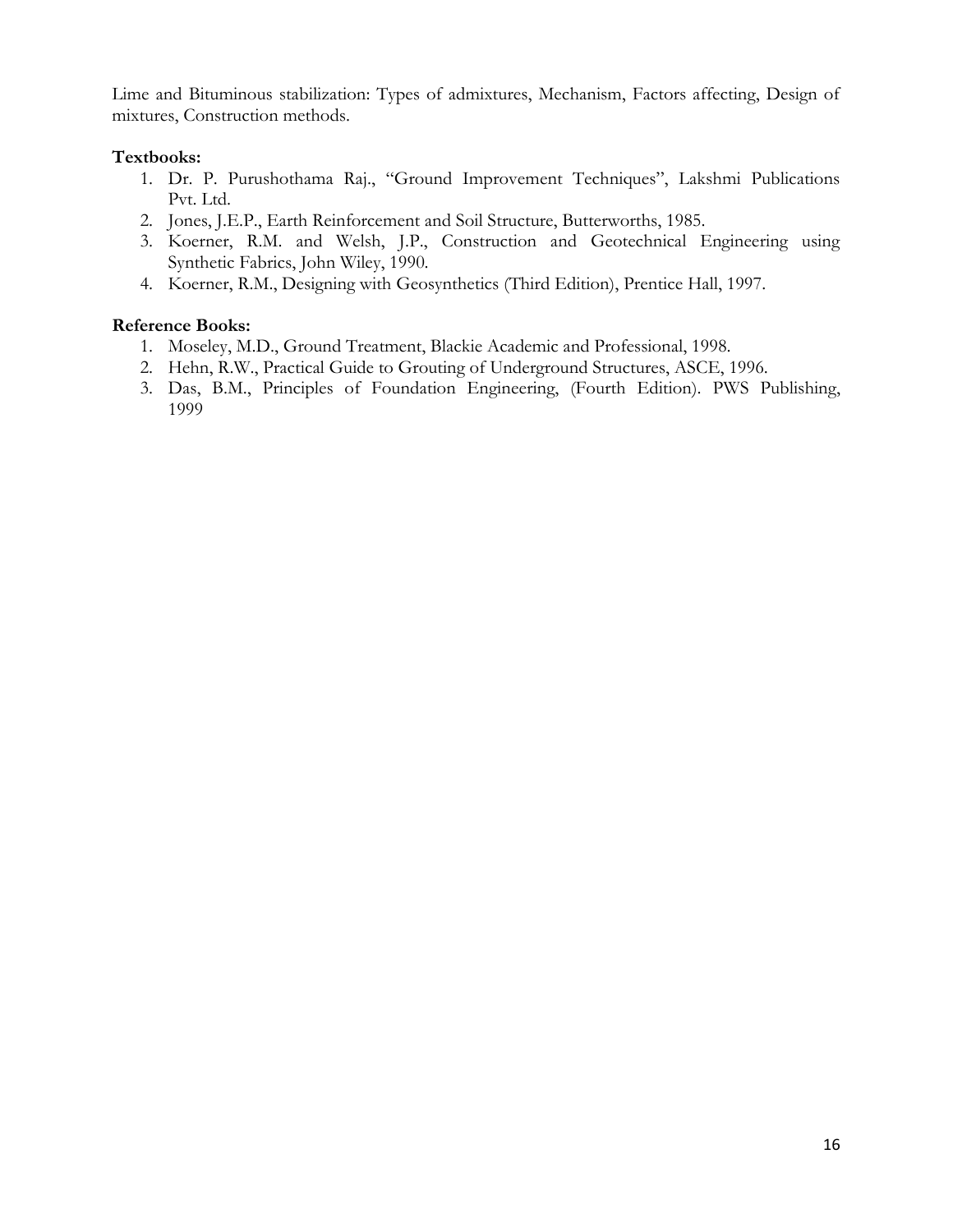Lime and Bituminous stabilization: Types of admixtures, Mechanism, Factors affecting, Design of mixtures, Construction methods.

# **Textbooks:**

- 1. Dr. P. Purushothama Raj., "Ground Improvement Techniques", Lakshmi Publications Pvt. Ltd.
- 2. Jones, J.E.P., Earth Reinforcement and Soil Structure, Butterworths, 1985.
- 3. Koerner, R.M. and Welsh, J.P., Construction and Geotechnical Engineering using Synthetic Fabrics, John Wiley, 1990.
- 4. Koerner, R.M., Designing with Geosynthetics (Third Edition), Prentice Hall, 1997.

- 1. Moseley, M.D., Ground Treatment, Blackie Academic and Professional, 1998.
- 2. Hehn, R.W., Practical Guide to Grouting of Underground Structures, ASCE, 1996.
- 3. Das, B.M., Principles of Foundation Engineering, (Fourth Edition). PWS Publishing, 1999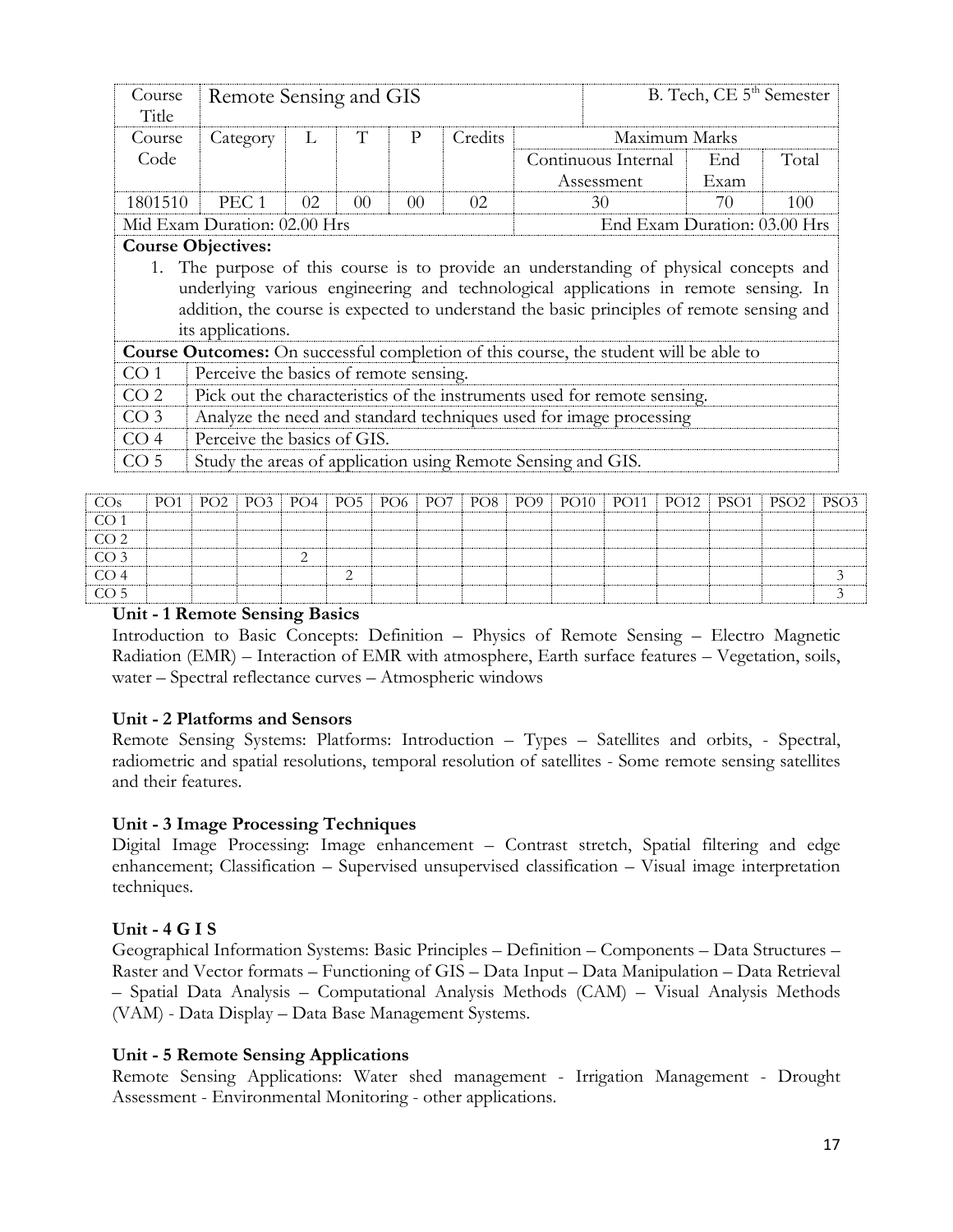| Course<br>Title | Remote Sensing and GIS                                                                                                                                                       |                                                              |                |    |         |  |                                                                                           | B. Tech, CE 5 <sup>th</sup> Semester |                                                                                              |  |  |  |  |  |  |  |  |  |  |  |  |
|-----------------|------------------------------------------------------------------------------------------------------------------------------------------------------------------------------|--------------------------------------------------------------|----------------|----|---------|--|-------------------------------------------------------------------------------------------|--------------------------------------|----------------------------------------------------------------------------------------------|--|--|--|--|--|--|--|--|--|--|--|--|
| Course          | Category                                                                                                                                                                     | L                                                            | Т              | P  | Credits |  | Maximum Marks                                                                             |                                      |                                                                                              |  |  |  |  |  |  |  |  |  |  |  |  |
| Code            |                                                                                                                                                                              |                                                              |                |    |         |  | Continuous Internal                                                                       | End                                  | Total                                                                                        |  |  |  |  |  |  |  |  |  |  |  |  |
|                 |                                                                                                                                                                              |                                                              |                |    |         |  | Assessment                                                                                | Exam                                 |                                                                                              |  |  |  |  |  |  |  |  |  |  |  |  |
| 1801510         | PEC <sub>1</sub>                                                                                                                                                             | 02                                                           | 0 <sup>0</sup> | 00 | 02      |  | 30                                                                                        | 70                                   | 100                                                                                          |  |  |  |  |  |  |  |  |  |  |  |  |
|                 |                                                                                                                                                                              | End Exam Duration: 03.00 Hrs<br>Mid Exam Duration: 02.00 Hrs |                |    |         |  |                                                                                           |                                      |                                                                                              |  |  |  |  |  |  |  |  |  |  |  |  |
|                 | <b>Course Objectives:</b>                                                                                                                                                    |                                                              |                |    |         |  |                                                                                           |                                      |                                                                                              |  |  |  |  |  |  |  |  |  |  |  |  |
|                 |                                                                                                                                                                              |                                                              |                |    |         |  |                                                                                           |                                      |                                                                                              |  |  |  |  |  |  |  |  |  |  |  |  |
|                 | 1. The purpose of this course is to provide an understanding of physical concepts and<br>underlying various engineering and technological applications in remote sensing. In |                                                              |                |    |         |  |                                                                                           |                                      |                                                                                              |  |  |  |  |  |  |  |  |  |  |  |  |
|                 |                                                                                                                                                                              |                                                              |                |    |         |  | addition, the course is expected to understand the basic principles of remote sensing and |                                      |                                                                                              |  |  |  |  |  |  |  |  |  |  |  |  |
|                 | its applications.                                                                                                                                                            |                                                              |                |    |         |  |                                                                                           |                                      |                                                                                              |  |  |  |  |  |  |  |  |  |  |  |  |
|                 |                                                                                                                                                                              |                                                              |                |    |         |  |                                                                                           |                                      |                                                                                              |  |  |  |  |  |  |  |  |  |  |  |  |
|                 |                                                                                                                                                                              |                                                              |                |    |         |  |                                                                                           |                                      | <b>Course Outcomes:</b> On successful completion of this course, the student will be able to |  |  |  |  |  |  |  |  |  |  |  |  |
| CO 1            | Perceive the basics of remote sensing.                                                                                                                                       |                                                              |                |    |         |  |                                                                                           |                                      |                                                                                              |  |  |  |  |  |  |  |  |  |  |  |  |
| CO <sub>2</sub> |                                                                                                                                                                              |                                                              |                |    |         |  | Pick out the characteristics of the instruments used for remote sensing.                  |                                      |                                                                                              |  |  |  |  |  |  |  |  |  |  |  |  |
| CO <sub>3</sub> |                                                                                                                                                                              |                                                              |                |    |         |  | Analyze the need and standard techniques used for image processing                        |                                      |                                                                                              |  |  |  |  |  |  |  |  |  |  |  |  |
| CO <sub>4</sub> | Perceive the basics of GIS.                                                                                                                                                  |                                                              |                |    |         |  |                                                                                           |                                      |                                                                                              |  |  |  |  |  |  |  |  |  |  |  |  |

| CO <sub>s</sub>  |  |  |  |  |  |  | PO1   PO2   PO3   PO4   PO5   PO6   PO7   PO8   PO9   PO10   PO11   PO12   PSO1   PSO2   PSO3 |  |
|------------------|--|--|--|--|--|--|-----------------------------------------------------------------------------------------------|--|
| CO <sub>1</sub>  |  |  |  |  |  |  |                                                                                               |  |
| CO <sub>2</sub>  |  |  |  |  |  |  |                                                                                               |  |
| CO <sub>3</sub>  |  |  |  |  |  |  |                                                                                               |  |
| CO <sub>4</sub>  |  |  |  |  |  |  |                                                                                               |  |
| $\overline{CO5}$ |  |  |  |  |  |  |                                                                                               |  |

### **Unit - 1 Remote Sensing Basics**

Introduction to Basic Concepts: Definition – Physics of Remote Sensing – Electro Magnetic Radiation (EMR) – Interaction of EMR with atmosphere, Earth surface features – Vegetation, soils, water – Spectral reflectance curves – Atmospheric windows

### **Unit - 2 Platforms and Sensors**

Remote Sensing Systems: Platforms: Introduction – Types – Satellites and orbits, - Spectral, radiometric and spatial resolutions, temporal resolution of satellites - Some remote sensing satellites and their features.

## **Unit - 3 Image Processing Techniques**

Digital Image Processing: Image enhancement – Contrast stretch, Spatial filtering and edge enhancement; Classification – Supervised unsupervised classification – Visual image interpretation techniques.

### **Unit - 4 G I S**

Geographical Information Systems: Basic Principles – Definition – Components – Data Structures – Raster and Vector formats – Functioning of GIS – Data Input – Data Manipulation – Data Retrieval – Spatial Data Analysis – Computational Analysis Methods (CAM) – Visual Analysis Methods (VAM) - Data Display – Data Base Management Systems.

### **Unit - 5 Remote Sensing Applications**

Remote Sensing Applications: Water shed management - Irrigation Management - Drought Assessment - Environmental Monitoring - other applications.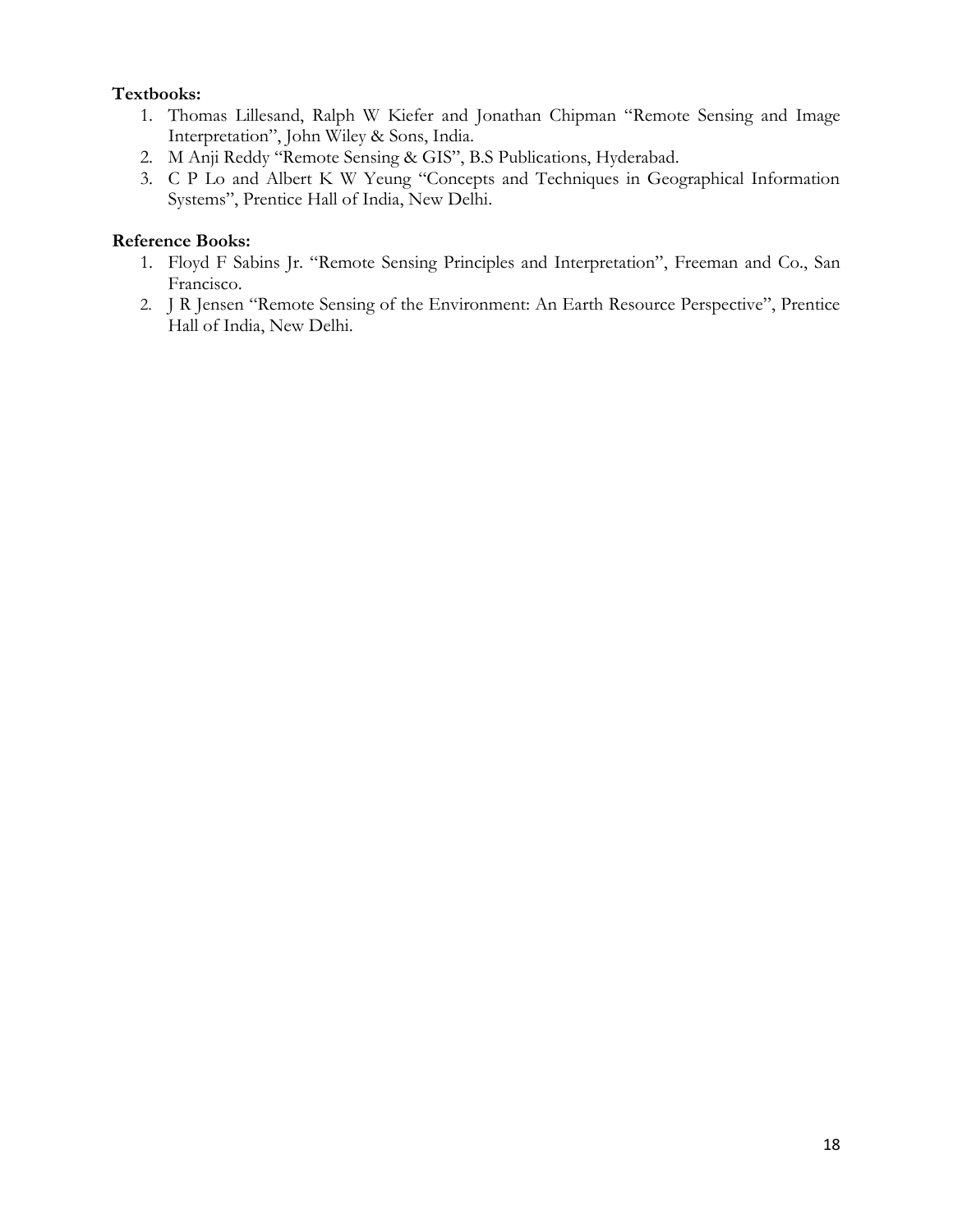# **Textbooks:**

- 1. Thomas Lillesand, Ralph W Kiefer and Jonathan Chipman "Remote Sensing and Image Interpretation", John Wiley & Sons, India.
- 2. M Anji Reddy "Remote Sensing & GIS", B.S Publications, Hyderabad.
- 3. C P Lo and Albert K W Yeung "Concepts and Techniques in Geographical Information Systems", Prentice Hall of India, New Delhi.

- 1. Floyd F Sabins Jr. "Remote Sensing Principles and Interpretation", Freeman and Co., San Francisco.
- 2. J R Jensen "Remote Sensing of the Environment: An Earth Resource Perspective", Prentice Hall of India, New Delhi.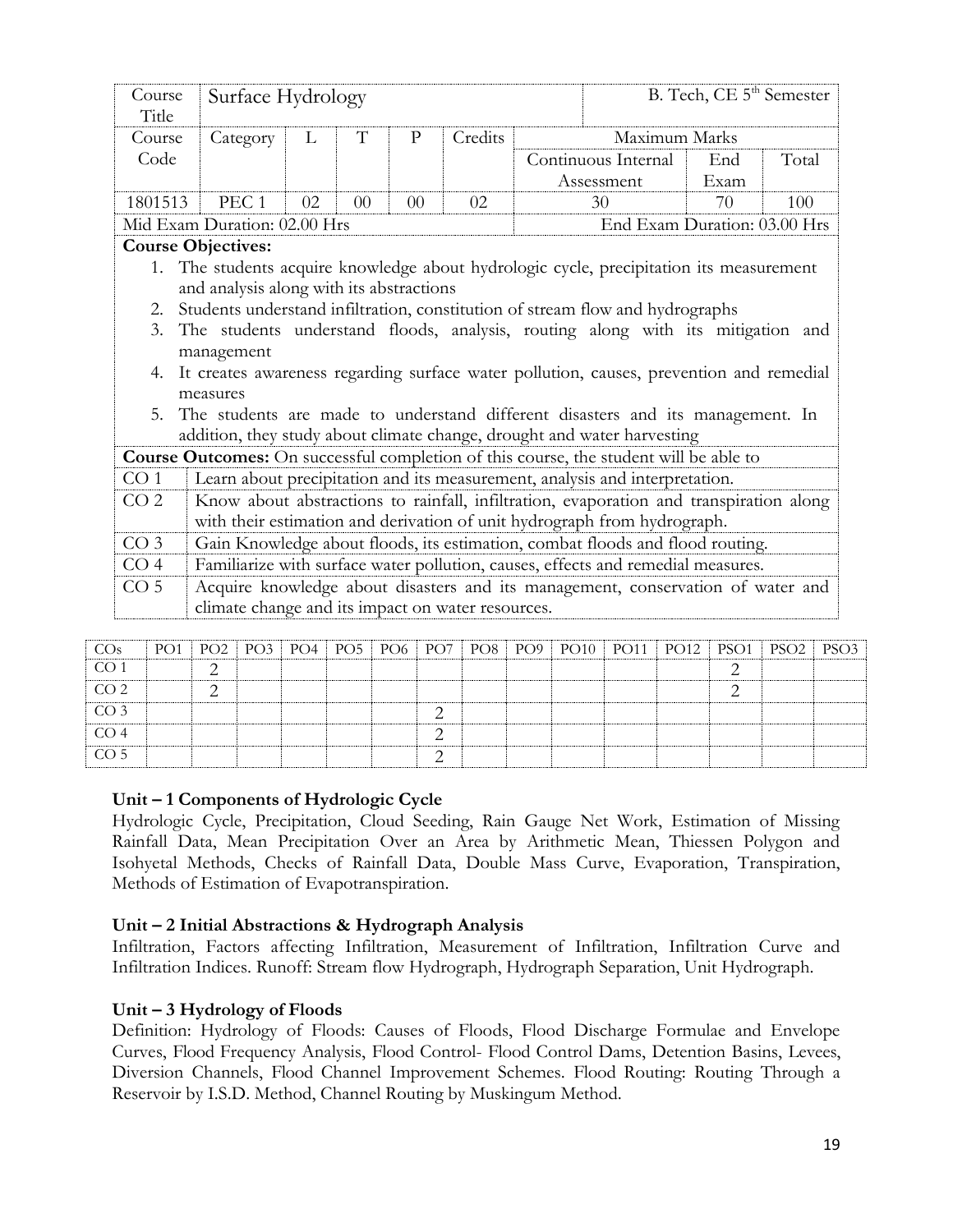|                 | Course<br>Title |                                                                                         |                 | Surface Hydrology |                 |                 |                 |         |                 |                                                                                        |             |               |      | B. Tech, CE 5 <sup>th</sup> Semester |                  |
|-----------------|-----------------|-----------------------------------------------------------------------------------------|-----------------|-------------------|-----------------|-----------------|-----------------|---------|-----------------|----------------------------------------------------------------------------------------|-------------|---------------|------|--------------------------------------|------------------|
|                 | Course          |                                                                                         | Category        | L                 | T               | $\mathbf{P}$    |                 | Credits |                 |                                                                                        |             | Maximum Marks |      |                                      |                  |
|                 | Code            |                                                                                         |                 |                   |                 |                 |                 |         |                 | Continuous Internal                                                                    |             |               | End  | Total                                |                  |
|                 |                 |                                                                                         |                 |                   |                 |                 |                 |         |                 | Assessment                                                                             |             |               | Exam |                                      |                  |
|                 | 1801513         | PEC <sub>1</sub>                                                                        |                 | 02                | 0 <sup>0</sup>  | 00              |                 | 02      |                 | 30                                                                                     |             |               | 70   | 100                                  |                  |
|                 |                 | Mid Exam Duration: 02.00 Hrs                                                            |                 |                   |                 |                 |                 |         |                 |                                                                                        |             |               |      | End Exam Duration: 03.00 Hrs         |                  |
|                 |                 | <b>Course Objectives:</b>                                                               |                 |                   |                 |                 |                 |         |                 |                                                                                        |             |               |      |                                      |                  |
|                 |                 | 1. The students acquire knowledge about hydrologic cycle, precipitation its measurement |                 |                   |                 |                 |                 |         |                 |                                                                                        |             |               |      |                                      |                  |
|                 |                 | and analysis along with its abstractions                                                |                 |                   |                 |                 |                 |         |                 |                                                                                        |             |               |      |                                      |                  |
|                 | 2.              | Students understand infiltration, constitution of stream flow and hydrographs           |                 |                   |                 |                 |                 |         |                 |                                                                                        |             |               |      |                                      |                  |
|                 | 3.              | The students understand floods, analysis, routing along with its mitigation and         |                 |                   |                 |                 |                 |         |                 |                                                                                        |             |               |      |                                      |                  |
|                 |                 | management                                                                              |                 |                   |                 |                 |                 |         |                 |                                                                                        |             |               |      |                                      |                  |
|                 | 4.              | It creates awareness regarding surface water pollution, causes, prevention and remedial |                 |                   |                 |                 |                 |         |                 |                                                                                        |             |               |      |                                      |                  |
|                 |                 | measures                                                                                |                 |                   |                 |                 |                 |         |                 |                                                                                        |             |               |      |                                      |                  |
|                 | 5.              | The students are made to understand different disasters and its management. In          |                 |                   |                 |                 |                 |         |                 |                                                                                        |             |               |      |                                      |                  |
|                 |                 | addition, they study about climate change, drought and water harvesting                 |                 |                   |                 |                 |                 |         |                 |                                                                                        |             |               |      |                                      |                  |
|                 |                 | Course Outcomes: On successful completion of this course, the student will be able to   |                 |                   |                 |                 |                 |         |                 |                                                                                        |             |               |      |                                      |                  |
| CO <sub>1</sub> |                 |                                                                                         |                 |                   |                 |                 |                 |         |                 | Learn about precipitation and its measurement, analysis and interpretation.            |             |               |      |                                      |                  |
| CO <sub>2</sub> |                 |                                                                                         |                 |                   |                 |                 |                 |         |                 | Know about abstractions to rainfall, infiltration, evaporation and transpiration along |             |               |      |                                      |                  |
|                 |                 |                                                                                         |                 |                   |                 |                 |                 |         |                 | with their estimation and derivation of unit hydrograph from hydrograph.               |             |               |      |                                      |                  |
| CO <sub>3</sub> |                 |                                                                                         |                 |                   |                 |                 |                 |         |                 | Gain Knowledge about floods, its estimation, combat floods and flood routing.          |             |               |      |                                      |                  |
| CO <sub>4</sub> |                 |                                                                                         |                 |                   |                 |                 |                 |         |                 | Familiarize with surface water pollution, causes, effects and remedial measures.       |             |               |      |                                      |                  |
| CO <sub>5</sub> |                 |                                                                                         |                 |                   |                 |                 |                 |         |                 | Acquire knowledge about disasters and its management, conservation of water and        |             |               |      |                                      |                  |
|                 |                 | climate change and its impact on water resources.                                       |                 |                   |                 |                 |                 |         |                 |                                                                                        |             |               |      |                                      |                  |
|                 |                 |                                                                                         |                 |                   |                 |                 |                 |         |                 |                                                                                        |             |               |      |                                      |                  |
| Os              | PO1             | PO <sub>2</sub>                                                                         | PO <sub>3</sub> | PO4               | PO <sub>5</sub> | PO <sub>6</sub> | PO <sub>7</sub> | PO8     | PO <sub>9</sub> | <b>PO10</b>                                                                            | <b>PO11</b> | <b>PO12</b>   | PSO1 | PSO <sub>2</sub>                     | PSO <sub>3</sub> |
| $\bigcap$ 1     |                 |                                                                                         |                 |                   |                 |                 |                 |         |                 |                                                                                        |             |               |      |                                      |                  |

| COs             |  |  |  |  |  |  |  | PO1   PO2   PO3   PO4   PO5   PO6   PO7   PO8   PO9   PO10   PO11   PO12   PSO1   PSO2   PSO3 |
|-----------------|--|--|--|--|--|--|--|-----------------------------------------------------------------------------------------------|
| CO 1            |  |  |  |  |  |  |  |                                                                                               |
| CO <sub>2</sub> |  |  |  |  |  |  |  |                                                                                               |
| CO <sub>3</sub> |  |  |  |  |  |  |  |                                                                                               |
| CO <sub>4</sub> |  |  |  |  |  |  |  |                                                                                               |
| CO <sub>5</sub> |  |  |  |  |  |  |  |                                                                                               |

## **Unit – 1 Components of Hydrologic Cycle**

Hydrologic Cycle, Precipitation, Cloud Seeding, Rain Gauge Net Work, Estimation of Missing Rainfall Data, Mean Precipitation Over an Area by Arithmetic Mean, Thiessen Polygon and Isohyetal Methods, Checks of Rainfall Data, Double Mass Curve, Evaporation, Transpiration, Methods of Estimation of Evapotranspiration.

## **Unit – 2 Initial Abstractions & Hydrograph Analysis**

Infiltration, Factors affecting Infiltration, Measurement of Infiltration, Infiltration Curve and Infiltration Indices. Runoff: Stream flow Hydrograph, Hydrograph Separation, Unit Hydrograph.

# **Unit – 3 Hydrology of Floods**

Definition: Hydrology of Floods: Causes of Floods, Flood Discharge Formulae and Envelope Curves, Flood Frequency Analysis, Flood Control- Flood Control Dams, Detention Basins, Levees, Diversion Channels, Flood Channel Improvement Schemes. Flood Routing: Routing Through a Reservoir by I.S.D. Method, Channel Routing by Muskingum Method.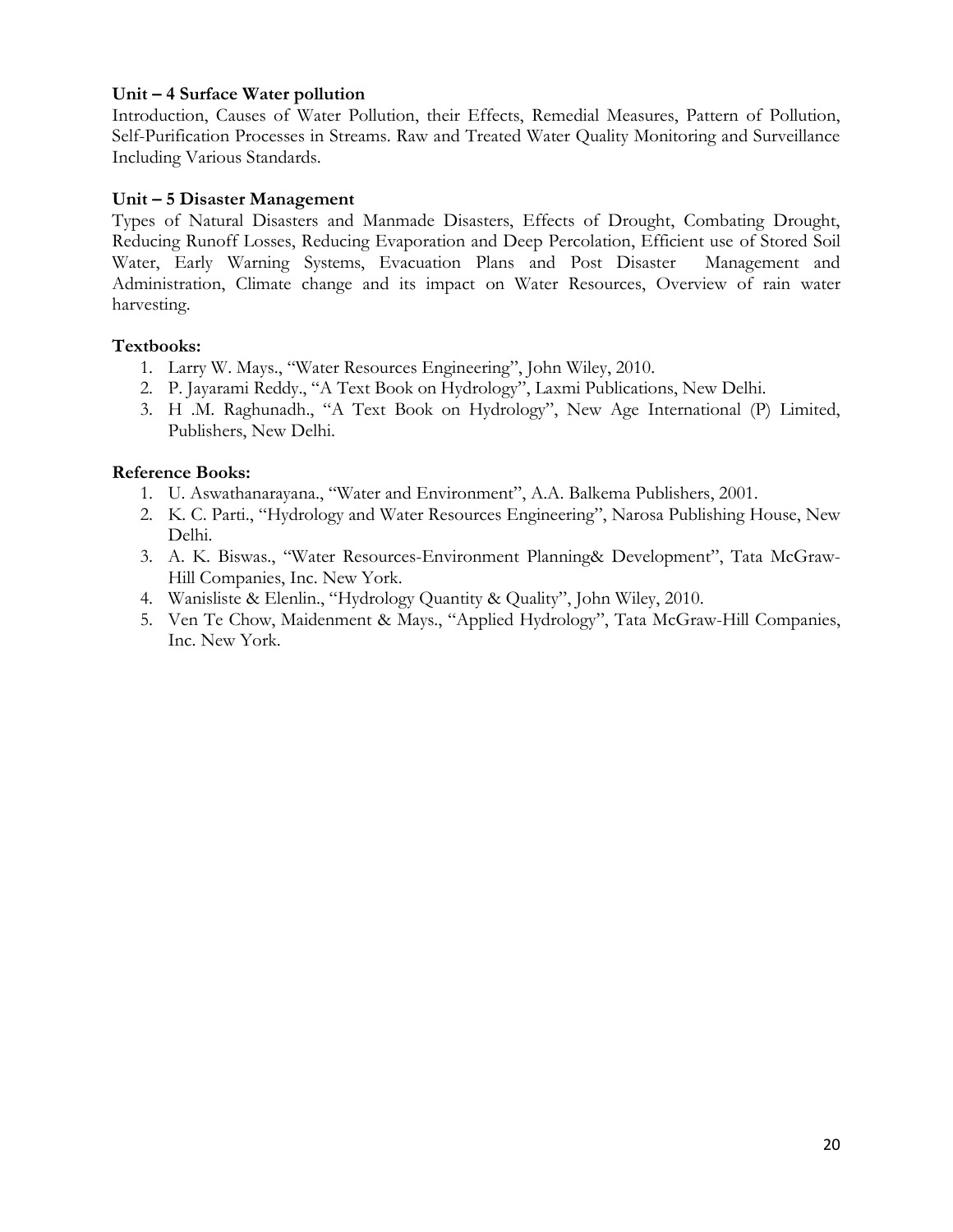## **Unit – 4 Surface Water pollution**

Introduction, Causes of Water Pollution, their Effects, Remedial Measures, Pattern of Pollution, Self-Purification Processes in Streams. Raw and Treated Water Quality Monitoring and Surveillance Including Various Standards.

## **Unit – 5 Disaster Management**

Types of Natural Disasters and Manmade Disasters, Effects of Drought, Combating Drought, Reducing Runoff Losses, Reducing Evaporation and Deep Percolation, Efficient use of Stored Soil Water, Early Warning Systems, Evacuation Plans and Post Disaster Management and Administration, Climate change and its impact on Water Resources, Overview of rain water harvesting.

## **Textbooks:**

- 1. Larry W. Mays., "Water Resources Engineering", John Wiley, 2010.
- 2. P. Jayarami Reddy., "A Text Book on Hydrology", Laxmi Publications, New Delhi.
- 3. H .M. Raghunadh., "A Text Book on Hydrology", New Age International (P) Limited, Publishers, New Delhi.

- 1. U. Aswathanarayana., "Water and Environment", A.A. Balkema Publishers, 2001.
- 2. K. C. Parti., "Hydrology and Water Resources Engineering", Narosa Publishing House, New Delhi.
- 3. A. K. Biswas., "Water Resources-Environment Planning& Development", Tata McGraw-Hill Companies, Inc. New York.
- 4. Wanisliste & Elenlin., "Hydrology Quantity & Quality", John Wiley, 2010.
- 5. Ven Te Chow, Maidenment & Mays., "Applied Hydrology", Tata McGraw-Hill Companies, Inc. New York.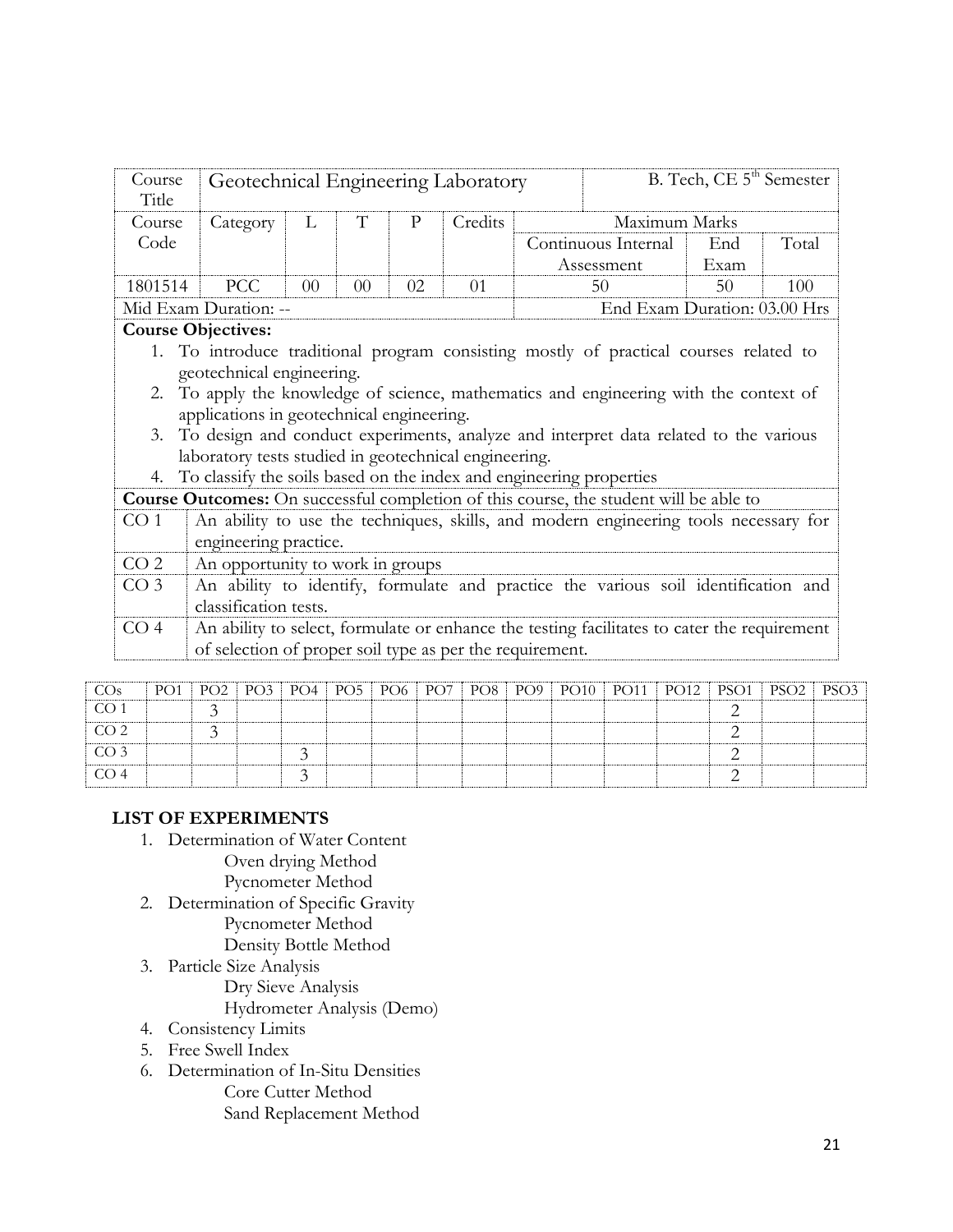| Course<br>Title | Geotechnical Engineering Laboratory                                                                                                                                                                    |    |    |              |         |                                                                                                                                                                                                                                                                        | B. Tech, CE 5 <sup>th</sup> Semester |       |
|-----------------|--------------------------------------------------------------------------------------------------------------------------------------------------------------------------------------------------------|----|----|--------------|---------|------------------------------------------------------------------------------------------------------------------------------------------------------------------------------------------------------------------------------------------------------------------------|--------------------------------------|-------|
| Course          | Category                                                                                                                                                                                               | L  | T  | $\mathbf{P}$ | Credits | Maximum Marks                                                                                                                                                                                                                                                          |                                      |       |
| Code            |                                                                                                                                                                                                        |    |    |              |         | Continuous Internal<br>Assessment                                                                                                                                                                                                                                      | End<br>Exam                          | Total |
| 1801514         | <b>PCC</b>                                                                                                                                                                                             | 00 | 00 | 02           | 01      | 50                                                                                                                                                                                                                                                                     | 50                                   | 100   |
|                 | Mid Exam Duration: --                                                                                                                                                                                  |    |    |              |         | End Exam Duration: 03.00 Hrs                                                                                                                                                                                                                                           |                                      |       |
|                 | <b>Course Objectives:</b>                                                                                                                                                                              |    |    |              |         |                                                                                                                                                                                                                                                                        |                                      |       |
| 3.<br>4.        | geotechnical engineering.<br>applications in geotechnical engineering.<br>laboratory tests studied in geotechnical engineering.<br>To classify the soils based on the index and engineering properties |    |    |              |         | 1. To introduce traditional program consisting mostly of practical courses related to<br>2. To apply the knowledge of science, mathematics and engineering with the context of<br>To design and conduct experiments, analyze and interpret data related to the various |                                      |       |
|                 |                                                                                                                                                                                                        |    |    |              |         | <b>Course Outcomes:</b> On successful completion of this course, the student will be able to                                                                                                                                                                           |                                      |       |
| CO <sub>1</sub> | engineering practice.                                                                                                                                                                                  |    |    |              |         | An ability to use the techniques, skills, and modern engineering tools necessary for                                                                                                                                                                                   |                                      |       |
| CO <sub>2</sub> | An opportunity to work in groups                                                                                                                                                                       |    |    |              |         |                                                                                                                                                                                                                                                                        |                                      |       |
| CO <sub>3</sub> | classification tests.                                                                                                                                                                                  |    |    |              |         | An ability to identify, formulate and practice the various soil identification and                                                                                                                                                                                     |                                      |       |
| CO <sub>4</sub> | of selection of proper soil type as per the requirement.                                                                                                                                               |    |    |              |         | An ability to select, formulate or enhance the testing facilitates to cater the requirement                                                                                                                                                                            |                                      |       |

| CO <sub>s</sub> |  |  |  |  |  |  | PO1   PO2   PO3   PO4   PO5   PO6   PO7   PO8   PO9   PO10   PO11   PO12   PSO1   PSO2   PSO3 |  |
|-----------------|--|--|--|--|--|--|-----------------------------------------------------------------------------------------------|--|
| CO <sub>1</sub> |  |  |  |  |  |  |                                                                                               |  |
| CO <sub>2</sub> |  |  |  |  |  |  |                                                                                               |  |
| CO <sub>3</sub> |  |  |  |  |  |  |                                                                                               |  |
| CO <sub>4</sub> |  |  |  |  |  |  |                                                                                               |  |

# **LIST OF EXPERIMENTS**

1. Determination of Water Content

Oven drying Method

- Pycnometer Method
- 2. Determination of Specific Gravity Pycnometer Method Density Bottle Method
- 3. Particle Size Analysis Dry Sieve Analysis Hydrometer Analysis (Demo)
- 4. Consistency Limits
- 5. Free Swell Index
- 6. Determination of In-Situ Densities Core Cutter Method Sand Replacement Method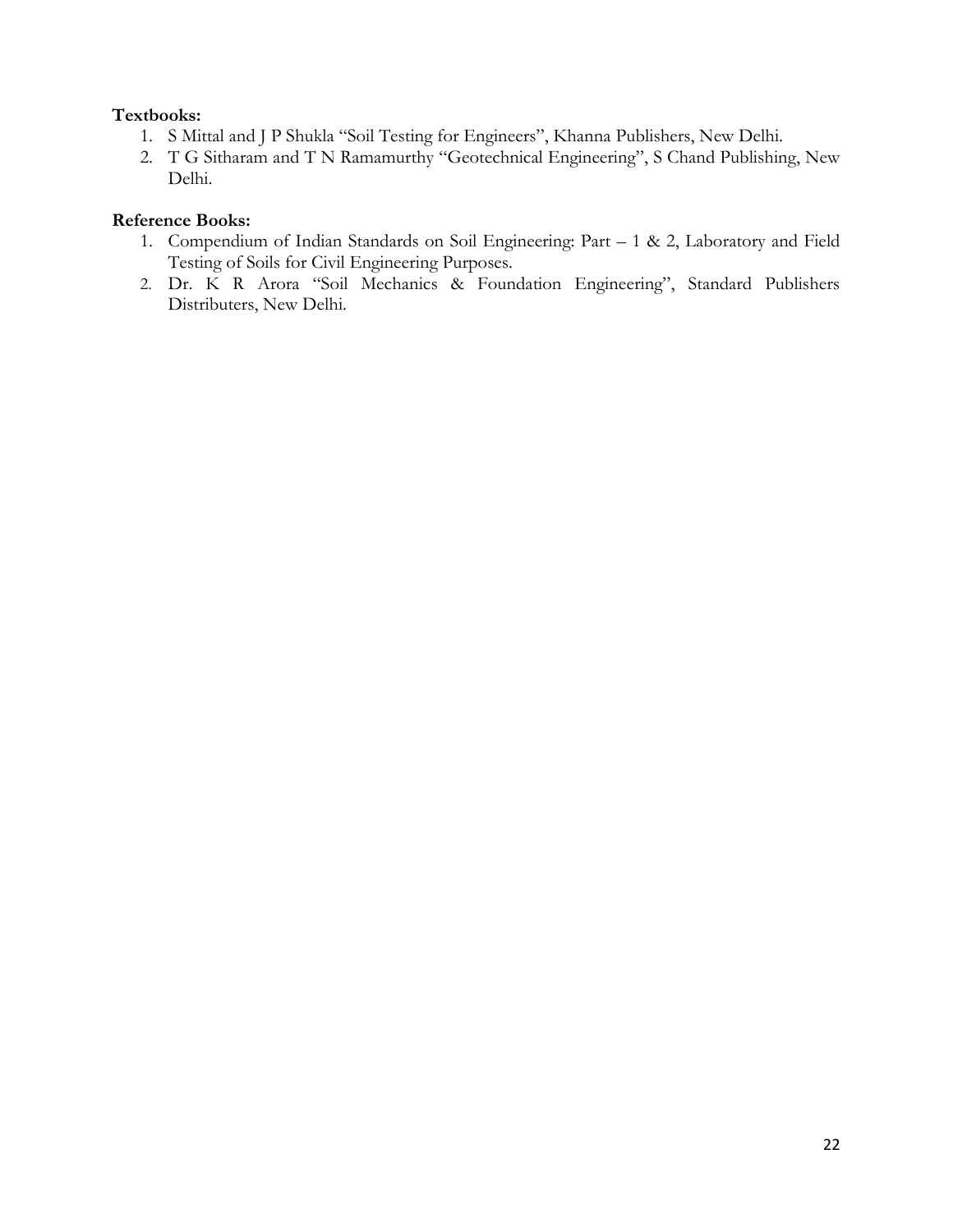# **Textbooks:**

- 1. S Mittal and J P Shukla "Soil Testing for Engineers", Khanna Publishers, New Delhi.
- 2. T G Sitharam and T N Ramamurthy "Geotechnical Engineering", S Chand Publishing, New Delhi.

- 1. Compendium of Indian Standards on Soil Engineering: Part 1 & 2, Laboratory and Field Testing of Soils for Civil Engineering Purposes.
- 2. Dr. K R Arora "Soil Mechanics & Foundation Engineering", Standard Publishers Distributers, New Delhi.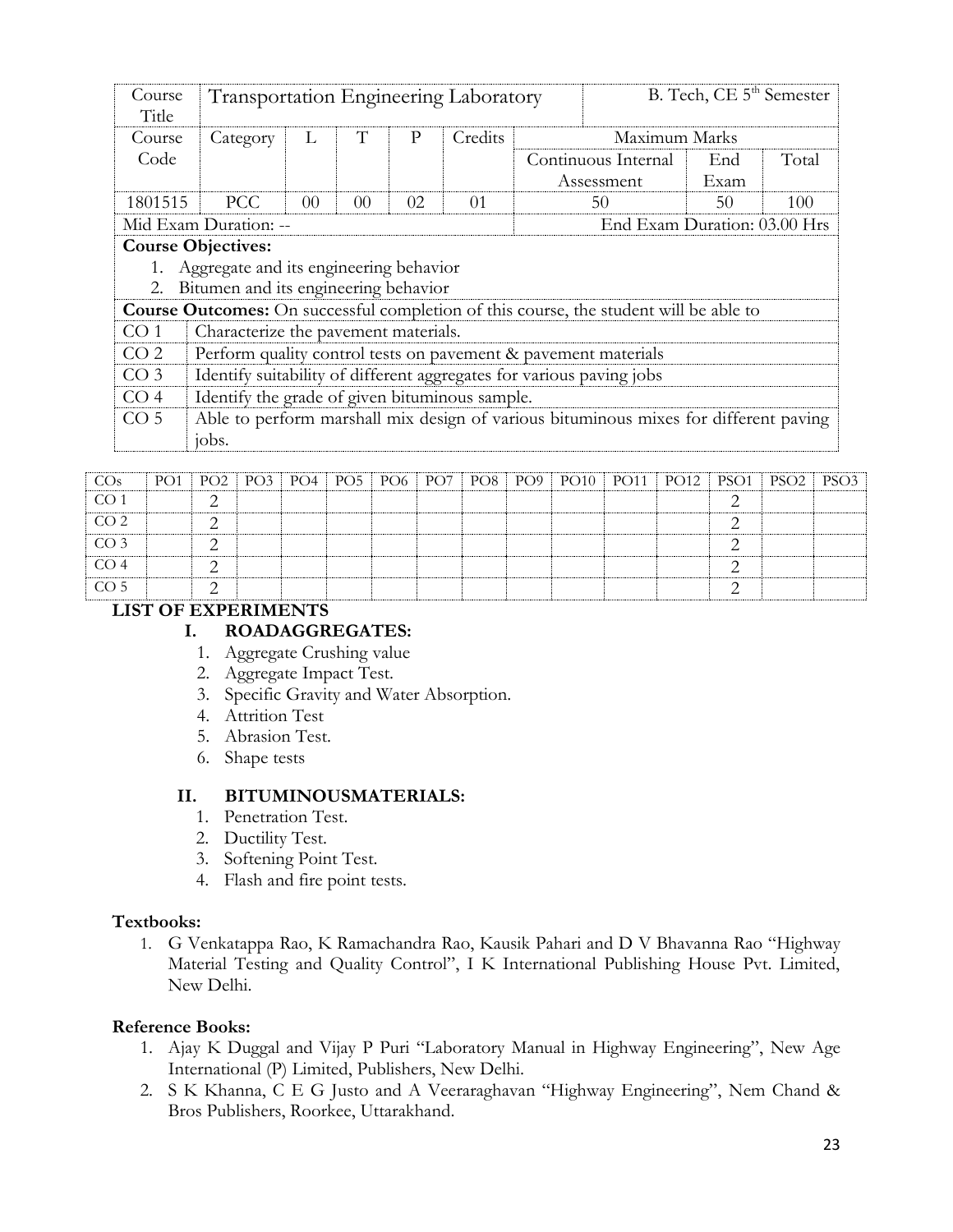| Course<br>Title | Transportation Engineering Laboratory                                |                |                 |    |          | B. Tech, CE 5 <sup>th</sup> Semester |                                                                                              |      |       |  |  |  |
|-----------------|----------------------------------------------------------------------|----------------|-----------------|----|----------|--------------------------------------|----------------------------------------------------------------------------------------------|------|-------|--|--|--|
| Course          | Category                                                             | L              | T               | P  | Credits  | Maximum Marks                        |                                                                                              |      |       |  |  |  |
| Code            |                                                                      |                |                 |    |          |                                      | Continuous Internal                                                                          | End  | Total |  |  |  |
|                 |                                                                      |                |                 |    |          |                                      | Assessment                                                                                   | Exam |       |  |  |  |
| 1801515         | <b>PCC</b>                                                           | 0 <sup>0</sup> | 00 <sup>2</sup> | 02 | $\Omega$ | 50                                   |                                                                                              | 50   | 100   |  |  |  |
|                 | End Exam Duration: 03.00 Hrs<br>Mid Exam Duration: --                |                |                 |    |          |                                      |                                                                                              |      |       |  |  |  |
|                 | <b>Course Objectives:</b>                                            |                |                 |    |          |                                      |                                                                                              |      |       |  |  |  |
|                 | Aggregate and its engineering behavior                               |                |                 |    |          |                                      |                                                                                              |      |       |  |  |  |
| 2.              | Bitumen and its engineering behavior                                 |                |                 |    |          |                                      |                                                                                              |      |       |  |  |  |
|                 |                                                                      |                |                 |    |          |                                      | <b>Course Outcomes:</b> On successful completion of this course, the student will be able to |      |       |  |  |  |
| CO <sub>1</sub> | Characterize the pavement materials.                                 |                |                 |    |          |                                      |                                                                                              |      |       |  |  |  |
| CO <sub>2</sub> | Perform quality control tests on pavement & pavement materials       |                |                 |    |          |                                      |                                                                                              |      |       |  |  |  |
| CO <sub>3</sub> | Identify suitability of different aggregates for various paving jobs |                |                 |    |          |                                      |                                                                                              |      |       |  |  |  |
| CO <sub>4</sub> | Identify the grade of given bituminous sample.                       |                |                 |    |          |                                      |                                                                                              |      |       |  |  |  |
| CO <sub>5</sub> |                                                                      |                |                 |    |          |                                      | Able to perform marshall mix design of various bituminous mixes for different paving         |      |       |  |  |  |
|                 | jobs.                                                                |                |                 |    |          |                                      |                                                                                              |      |       |  |  |  |

| CO <sub>s</sub> | PO1 |           |  |  |  |  |  | PO2   PO3   PO4   PO5   PO6   PO7   PO8   PO9   PO10   PO11   PO12   PSO1   PSO2   PSO3 |  |
|-----------------|-----|-----------|--|--|--|--|--|-----------------------------------------------------------------------------------------|--|
| CO <sub>1</sub> |     | ◠         |  |  |  |  |  |                                                                                         |  |
| CO <sub>2</sub> |     | ◠         |  |  |  |  |  |                                                                                         |  |
| CO <sub>3</sub> |     | $\bigcap$ |  |  |  |  |  |                                                                                         |  |
| CO <sub>4</sub> |     | ⌒         |  |  |  |  |  |                                                                                         |  |
| CO <sub>5</sub> |     | $\sim$    |  |  |  |  |  |                                                                                         |  |

# **LIST OF EXPERIMENTS**

# **I. ROADAGGREGATES:**

- 1. Aggregate Crushing value
- 2. Aggregate Impact Test.
- 3. Specific Gravity and Water Absorption.
- 4. Attrition Test
- 5. Abrasion Test.
- 6. Shape tests

## **II. BITUMINOUSMATERIALS:**

- 1. Penetration Test.
- 2. Ductility Test.
- 3. Softening Point Test.
- 4. Flash and fire point tests.

## **Textbooks:**

1. G Venkatappa Rao, K Ramachandra Rao, Kausik Pahari and D V Bhavanna Rao "Highway Material Testing and Quality Control", I K International Publishing House Pvt. Limited, New Delhi.

- 1. Ajay K Duggal and Vijay P Puri "Laboratory Manual in Highway Engineering", New Age International (P) Limited, Publishers, New Delhi.
- 2. S K Khanna, C E G Justo and A Veeraraghavan "Highway Engineering", Nem Chand & Bros Publishers, Roorkee, Uttarakhand.